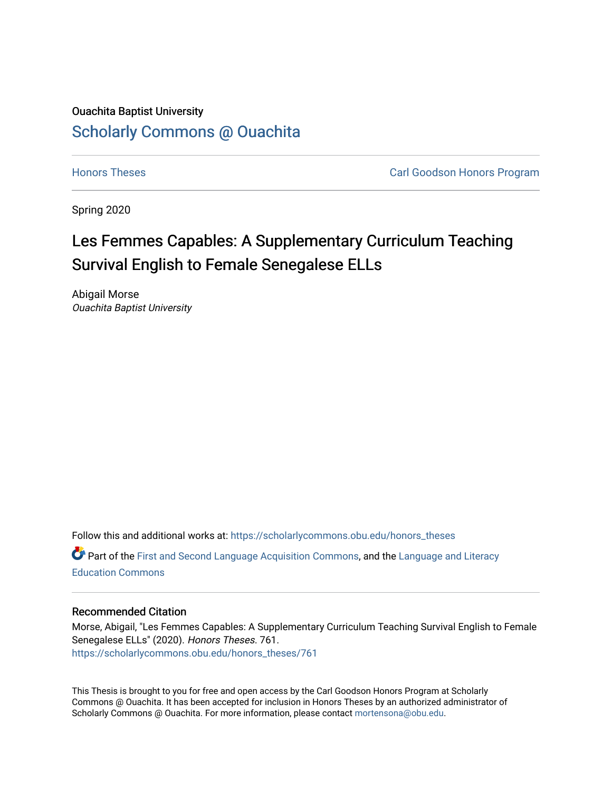# Ouachita Baptist University [Scholarly Commons @ Ouachita](https://scholarlycommons.obu.edu/)

**[Honors Theses](https://scholarlycommons.obu.edu/honors_theses) Carl Goodson Honors Program** 

Spring 2020

# Les Femmes Capables: A Supplementary Curriculum Teaching Survival English to Female Senegalese ELLs

Abigail Morse Ouachita Baptist University

Follow this and additional works at: [https://scholarlycommons.obu.edu/honors\\_theses](https://scholarlycommons.obu.edu/honors_theses?utm_source=scholarlycommons.obu.edu%2Fhonors_theses%2F761&utm_medium=PDF&utm_campaign=PDFCoverPages)  **C** Part of the [First and Second Language Acquisition Commons](http://network.bepress.com/hgg/discipline/377?utm_source=scholarlycommons.obu.edu%2Fhonors_theses%2F761&utm_medium=PDF&utm_campaign=PDFCoverPages), and the [Language and Literacy](http://network.bepress.com/hgg/discipline/1380?utm_source=scholarlycommons.obu.edu%2Fhonors_theses%2F761&utm_medium=PDF&utm_campaign=PDFCoverPages) [Education Commons](http://network.bepress.com/hgg/discipline/1380?utm_source=scholarlycommons.obu.edu%2Fhonors_theses%2F761&utm_medium=PDF&utm_campaign=PDFCoverPages) 

#### Recommended Citation

Morse, Abigail, "Les Femmes Capables: A Supplementary Curriculum Teaching Survival English to Female Senegalese ELLs" (2020). Honors Theses. 761. [https://scholarlycommons.obu.edu/honors\\_theses/761](https://scholarlycommons.obu.edu/honors_theses/761?utm_source=scholarlycommons.obu.edu%2Fhonors_theses%2F761&utm_medium=PDF&utm_campaign=PDFCoverPages) 

This Thesis is brought to you for free and open access by the Carl Goodson Honors Program at Scholarly Commons @ Ouachita. It has been accepted for inclusion in Honors Theses by an authorized administrator of Scholarly Commons @ Ouachita. For more information, please contact [mortensona@obu.edu](mailto:mortensona@obu.edu).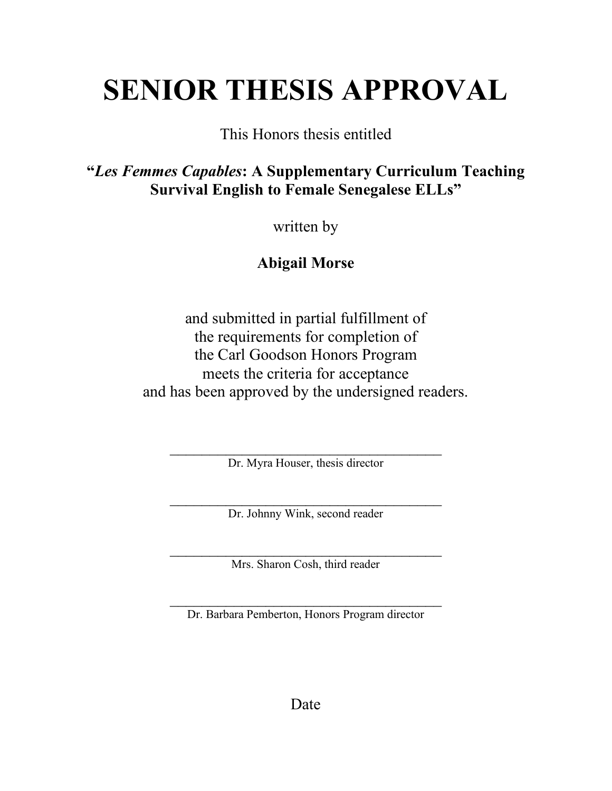# **SENIOR THESIS APPROVAL**

This Honors thesis entitled

**"***Les Femmes Capables***: A Supplementary Curriculum Teaching Survival English to Female Senegalese ELLs"**

written by

**Abigail Morse**

and submitted in partial fulfillment of the requirements for completion of the Carl Goodson Honors Program meets the criteria for acceptance and has been approved by the undersigned readers.

Dr. Myra Houser, thesis director

\_\_\_\_\_\_\_\_\_\_\_\_\_\_\_\_\_\_\_\_\_\_\_\_\_\_\_\_\_\_\_\_\_\_ Dr. Johnny Wink, second reader

Mrs. Sharon Cosh, third reader

 $\overline{\phantom{a}}$  , and the set of the set of the set of the set of the set of the set of the set of the set of the set of the set of the set of the set of the set of the set of the set of the set of the set of the set of the s Dr. Barbara Pemberton, Honors Program director

Date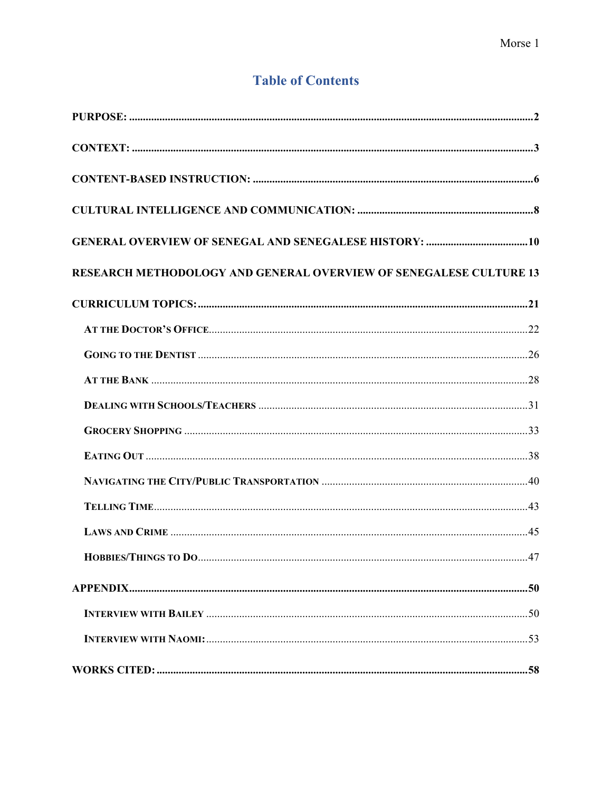# **Table of Contents**

| <b>RESEARCH METHODOLOGY AND GENERAL OVERVIEW OF SENEGALESE CULTURE 13</b> |
|---------------------------------------------------------------------------|
|                                                                           |
|                                                                           |
|                                                                           |
|                                                                           |
|                                                                           |
|                                                                           |
|                                                                           |
|                                                                           |
|                                                                           |
|                                                                           |
| <b>HOBBIES/THINGS TO DO</b><br>$\sim 47$                                  |
|                                                                           |
|                                                                           |
|                                                                           |
|                                                                           |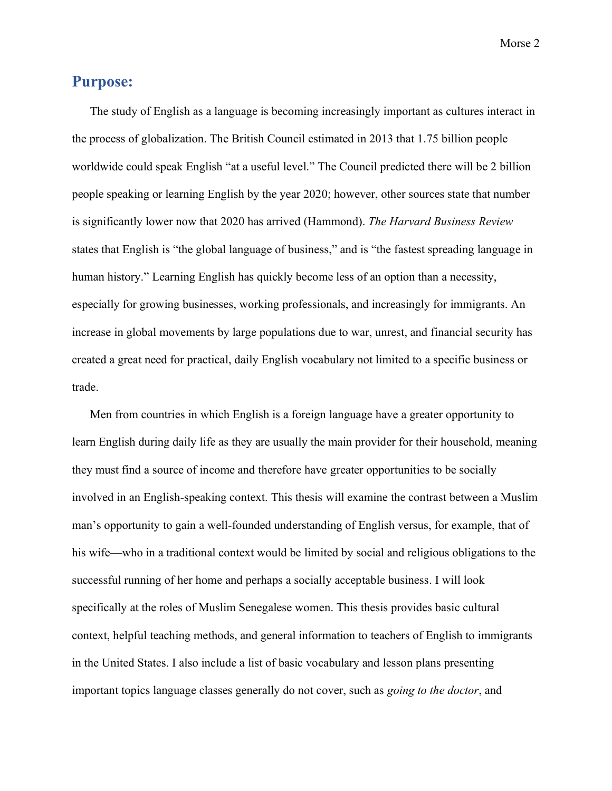#### <span id="page-3-0"></span>**Purpose:**

The study of English as a language is becoming increasingly important as cultures interact in the process of globalization. The British Council estimated in 2013 that 1.75 billion people worldwide could speak English "at a useful level." The Council predicted there will be 2 billion people speaking or learning English by the year 2020; however, other sources state that number is significantly lower now that 2020 has arrived (Hammond). *The Harvard Business Review* states that English is "the global language of business," and is "the fastest spreading language in human history." Learning English has quickly become less of an option than a necessity, especially for growing businesses, working professionals, and increasingly for immigrants. An increase in global movements by large populations due to war, unrest, and financial security has created a great need for practical, daily English vocabulary not limited to a specific business or trade.

Men from countries in which English is a foreign language have a greater opportunity to learn English during daily life as they are usually the main provider for their household, meaning they must find a source of income and therefore have greater opportunities to be socially involved in an English-speaking context. This thesis will examine the contrast between a Muslim man's opportunity to gain a well-founded understanding of English versus, for example, that of his wife—who in a traditional context would be limited by social and religious obligations to the successful running of her home and perhaps a socially acceptable business. I will look specifically at the roles of Muslim Senegalese women. This thesis provides basic cultural context, helpful teaching methods, and general information to teachers of English to immigrants in the United States. I also include a list of basic vocabulary and lesson plans presenting important topics language classes generally do not cover, such as *going to the doctor*, and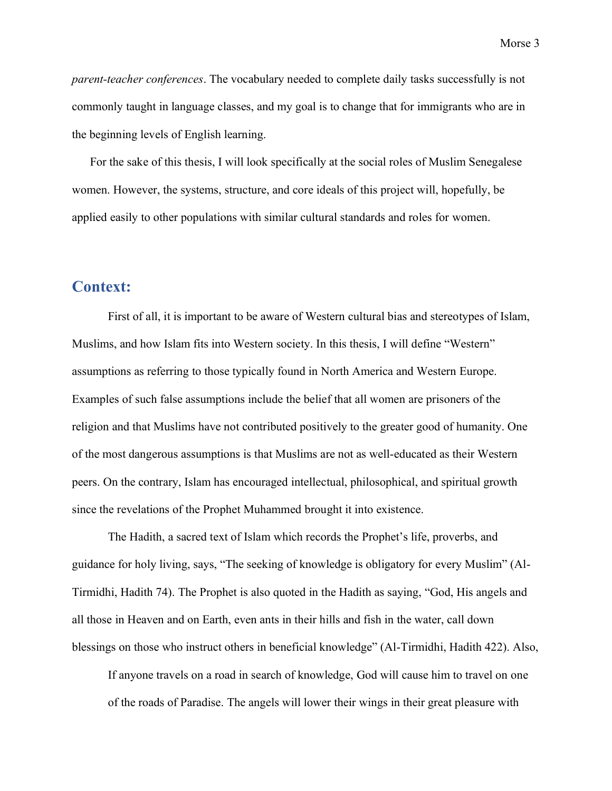*parent-teacher conferences*. The vocabulary needed to complete daily tasks successfully is not commonly taught in language classes, and my goal is to change that for immigrants who are in the beginning levels of English learning.

For the sake of this thesis, I will look specifically at the social roles of Muslim Senegalese women. However, the systems, structure, and core ideals of this project will, hopefully, be applied easily to other populations with similar cultural standards and roles for women.

## <span id="page-4-0"></span>**Context:**

First of all, it is important to be aware of Western cultural bias and stereotypes of Islam, Muslims, and how Islam fits into Western society. In this thesis, I will define "Western" assumptions as referring to those typically found in North America and Western Europe. Examples of such false assumptions include the belief that all women are prisoners of the religion and that Muslims have not contributed positively to the greater good of humanity. One of the most dangerous assumptions is that Muslims are not as well-educated as their Western peers. On the contrary, Islam has encouraged intellectual, philosophical, and spiritual growth since the revelations of the Prophet Muhammed brought it into existence.

The Hadith, a sacred text of Islam which records the Prophet's life, proverbs, and guidance for holy living, says, "The seeking of knowledge is obligatory for every Muslim" (Al-Tirmidhi, Hadith 74). The Prophet is also quoted in the Hadith as saying, "God, His angels and all those in Heaven and on Earth, even ants in their hills and fish in the water, call down blessings on those who instruct others in beneficial knowledge" (Al-Tirmidhi, Hadith 422). Also,

If anyone travels on a road in search of knowledge, God will cause him to travel on one of the roads of Paradise. The angels will lower their wings in their great pleasure with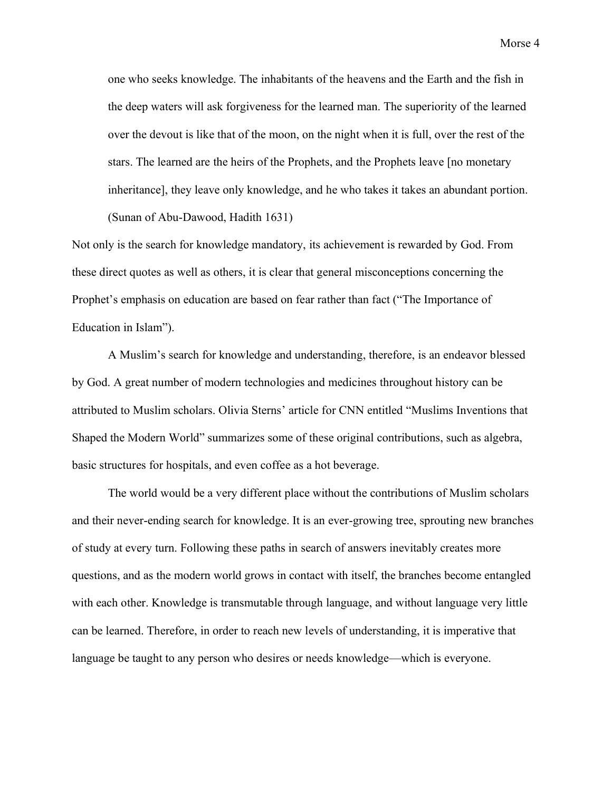one who seeks knowledge. The inhabitants of the heavens and the Earth and the fish in the deep waters will ask forgiveness for the learned man. The superiority of the learned over the devout is like that of the moon, on the night when it is full, over the rest of the stars. The learned are the heirs of the Prophets, and the Prophets leave [no monetary inheritance], they leave only knowledge, and he who takes it takes an abundant portion. (Sunan of Abu-Dawood, Hadith 1631)

Not only is the search for knowledge mandatory, its achievement is rewarded by God. From these direct quotes as well as others, it is clear that general misconceptions concerning the Prophet's emphasis on education are based on fear rather than fact ("The Importance of Education in Islam").

A Muslim's search for knowledge and understanding, therefore, is an endeavor blessed by God. A great number of modern technologies and medicines throughout history can be attributed to Muslim scholars. Olivia Sterns' article for CNN entitled "Muslims Inventions that Shaped the Modern World" summarizes some of these original contributions, such as algebra, basic structures for hospitals, and even coffee as a hot beverage.

The world would be a very different place without the contributions of Muslim scholars and their never-ending search for knowledge. It is an ever-growing tree, sprouting new branches of study at every turn. Following these paths in search of answers inevitably creates more questions, and as the modern world grows in contact with itself, the branches become entangled with each other. Knowledge is transmutable through language, and without language very little can be learned. Therefore, in order to reach new levels of understanding, it is imperative that language be taught to any person who desires or needs knowledge—which is everyone.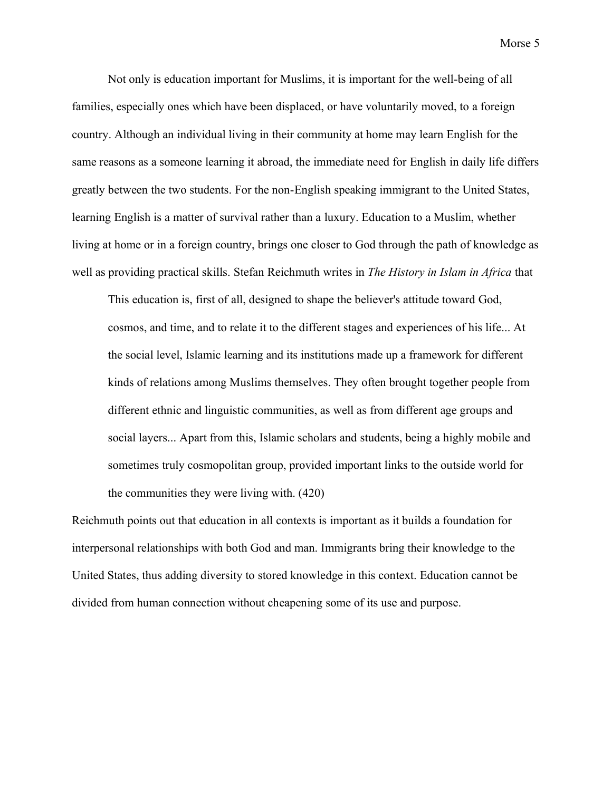Not only is education important for Muslims, it is important for the well-being of all families, especially ones which have been displaced, or have voluntarily moved, to a foreign country. Although an individual living in their community at home may learn English for the same reasons as a someone learning it abroad, the immediate need for English in daily life differs greatly between the two students. For the non-English speaking immigrant to the United States, learning English is a matter of survival rather than a luxury. Education to a Muslim, whether living at home or in a foreign country, brings one closer to God through the path of knowledge as well as providing practical skills. Stefan Reichmuth writes in *The History in Islam in Africa* that

This education is, first of all, designed to shape the believer's attitude toward God, cosmos, and time, and to relate it to the different stages and experiences of his life... At the social level, Islamic learning and its institutions made up a framework for different kinds of relations among Muslims themselves. They often brought together people from different ethnic and linguistic communities, as well as from different age groups and social layers... Apart from this, Islamic scholars and students, being a highly mobile and sometimes truly cosmopolitan group, provided important links to the outside world for the communities they were living with. (420)

Reichmuth points out that education in all contexts is important as it builds a foundation for interpersonal relationships with both God and man. Immigrants bring their knowledge to the United States, thus adding diversity to stored knowledge in this context. Education cannot be divided from human connection without cheapening some of its use and purpose.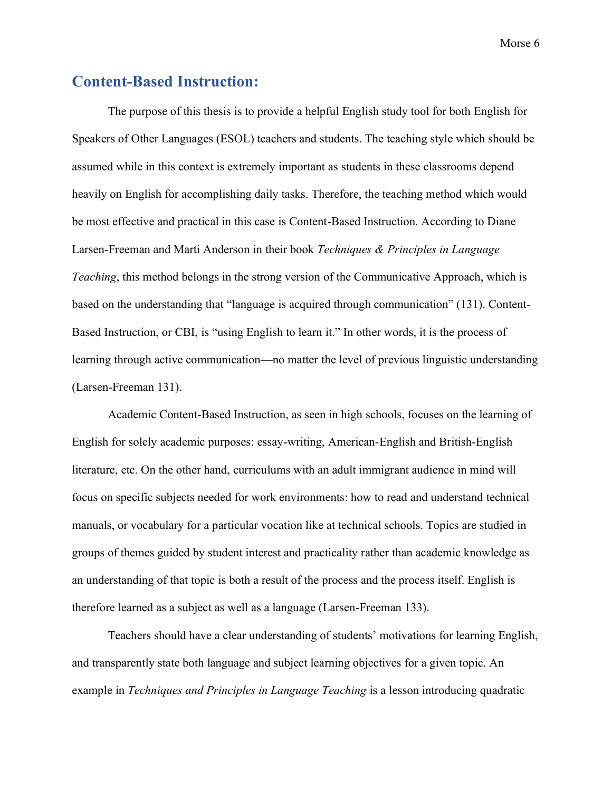# <span id="page-7-0"></span>**Content-Based Instruction:**

The purpose of this thesis is to provide a helpful English study tool for both English for Speakers of Other Languages (ESOL) teachers and students. The teaching style which should be assumed while in this context is extremely important as students in these classrooms depend heavily on English for accomplishing daily tasks. Therefore, the teaching method which would be most effective and practical in this case is Content-Based Instruction. According to Diane Larsen-Freeman and Marti Anderson in their book *Techniques & Principles in Language Teaching*, this method belongs in the strong version of the Communicative Approach, which is based on the understanding that "language is acquired through communication" (131). Content-Based Instruction, or CBI, is "using English to learn it." In other words, it is the process of learning through active communication—no matter the level of previous linguistic understanding (Larsen-Freeman 131).

Academic Content-Based Instruction, as seen in high schools, focuses on the learning of English for solely academic purposes: essay-writing, American-English and British-English literature, etc. On the other hand, curriculums with an adult immigrant audience in mind will focus on specific subjects needed for work environments: how to read and understand technical manuals, or vocabulary for a particular vocation like at technical schools. Topics are studied in groups of themes guided by student interest and practicality rather than academic knowledge as an understanding of that topic is both a result of the process and the process itself. English is therefore learned as a subject as well as a language (Larsen-Freeman 133).

Teachers should have a clear understanding of students' motivations for learning English, and transparently state both language and subject learning objectives for a given topic. An example in *Techniques and Principles in Language Teaching* is a lesson introducing quadratic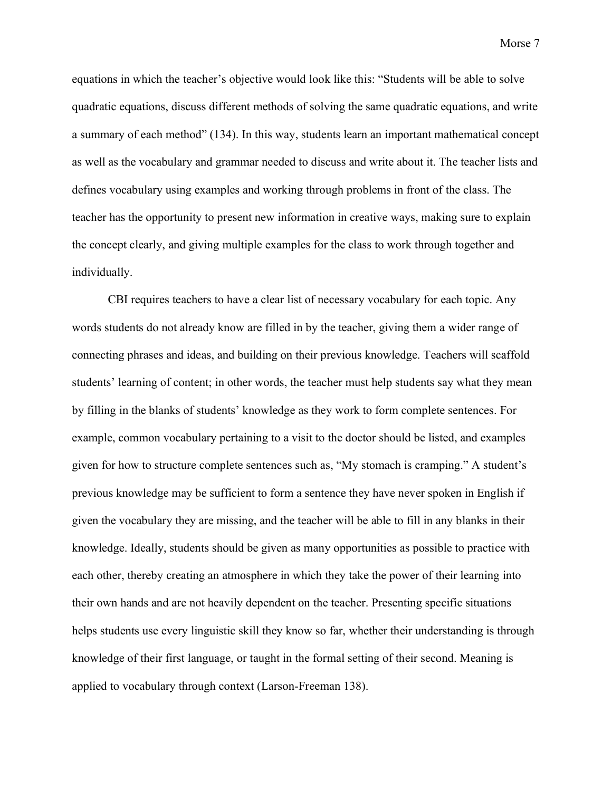equations in which the teacher's objective would look like this: "Students will be able to solve quadratic equations, discuss different methods of solving the same quadratic equations, and write a summary of each method" (134). In this way, students learn an important mathematical concept as well as the vocabulary and grammar needed to discuss and write about it. The teacher lists and defines vocabulary using examples and working through problems in front of the class. The teacher has the opportunity to present new information in creative ways, making sure to explain the concept clearly, and giving multiple examples for the class to work through together and individually.

CBI requires teachers to have a clear list of necessary vocabulary for each topic. Any words students do not already know are filled in by the teacher, giving them a wider range of connecting phrases and ideas, and building on their previous knowledge. Teachers will scaffold students' learning of content; in other words, the teacher must help students say what they mean by filling in the blanks of students' knowledge as they work to form complete sentences. For example, common vocabulary pertaining to a visit to the doctor should be listed, and examples given for how to structure complete sentences such as, "My stomach is cramping." A student's previous knowledge may be sufficient to form a sentence they have never spoken in English if given the vocabulary they are missing, and the teacher will be able to fill in any blanks in their knowledge. Ideally, students should be given as many opportunities as possible to practice with each other, thereby creating an atmosphere in which they take the power of their learning into their own hands and are not heavily dependent on the teacher. Presenting specific situations helps students use every linguistic skill they know so far, whether their understanding is through knowledge of their first language, or taught in the formal setting of their second. Meaning is applied to vocabulary through context (Larson-Freeman 138).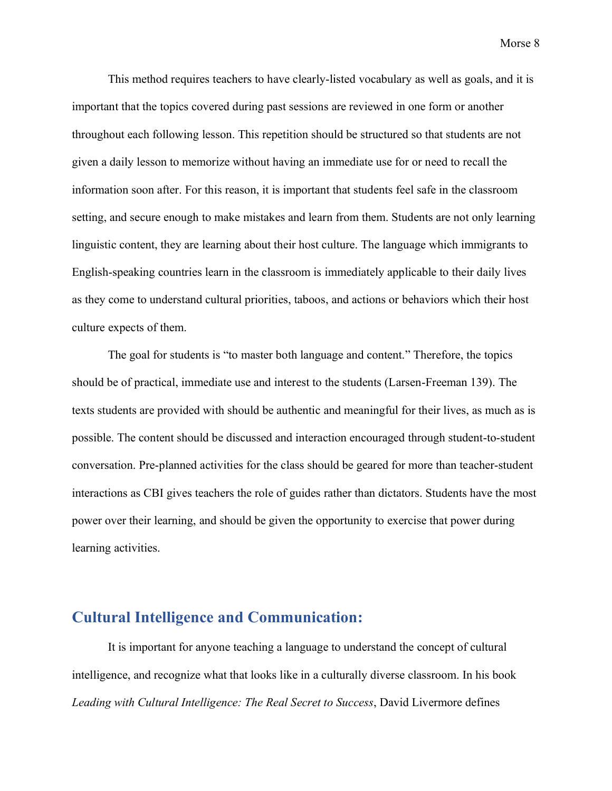This method requires teachers to have clearly-listed vocabulary as well as goals, and it is important that the topics covered during past sessions are reviewed in one form or another throughout each following lesson. This repetition should be structured so that students are not given a daily lesson to memorize without having an immediate use for or need to recall the information soon after. For this reason, it is important that students feel safe in the classroom setting, and secure enough to make mistakes and learn from them. Students are not only learning linguistic content, they are learning about their host culture. The language which immigrants to English-speaking countries learn in the classroom is immediately applicable to their daily lives as they come to understand cultural priorities, taboos, and actions or behaviors which their host culture expects of them.

The goal for students is "to master both language and content." Therefore, the topics should be of practical, immediate use and interest to the students (Larsen-Freeman 139). The texts students are provided with should be authentic and meaningful for their lives, as much as is possible. The content should be discussed and interaction encouraged through student-to-student conversation. Pre-planned activities for the class should be geared for more than teacher-student interactions as CBI gives teachers the role of guides rather than dictators. Students have the most power over their learning, and should be given the opportunity to exercise that power during learning activities.

## <span id="page-9-0"></span>**Cultural Intelligence and Communication:**

It is important for anyone teaching a language to understand the concept of cultural intelligence, and recognize what that looks like in a culturally diverse classroom. In his book *Leading with Cultural Intelligence: The Real Secret to Success*, David Livermore defines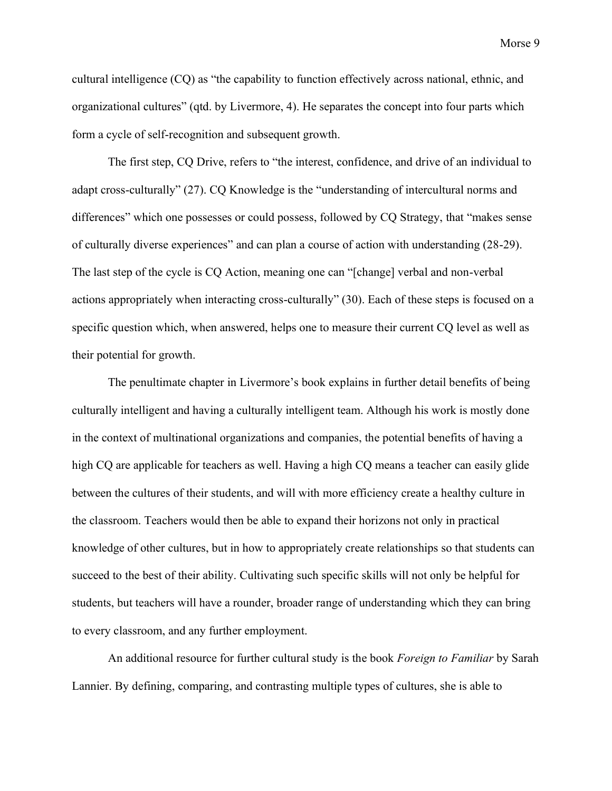cultural intelligence (CQ) as "the capability to function effectively across national, ethnic, and organizational cultures" (qtd. by Livermore, 4). He separates the concept into four parts which form a cycle of self-recognition and subsequent growth.

The first step, CQ Drive, refers to "the interest, confidence, and drive of an individual to adapt cross-culturally" (27). CQ Knowledge is the "understanding of intercultural norms and differences" which one possesses or could possess, followed by CQ Strategy, that "makes sense of culturally diverse experiences" and can plan a course of action with understanding (28-29). The last step of the cycle is CQ Action, meaning one can "[change] verbal and non-verbal actions appropriately when interacting cross-culturally" (30). Each of these steps is focused on a specific question which, when answered, helps one to measure their current CQ level as well as their potential for growth.

The penultimate chapter in Livermore's book explains in further detail benefits of being culturally intelligent and having a culturally intelligent team. Although his work is mostly done in the context of multinational organizations and companies, the potential benefits of having a high CQ are applicable for teachers as well. Having a high CQ means a teacher can easily glide between the cultures of their students, and will with more efficiency create a healthy culture in the classroom. Teachers would then be able to expand their horizons not only in practical knowledge of other cultures, but in how to appropriately create relationships so that students can succeed to the best of their ability. Cultivating such specific skills will not only be helpful for students, but teachers will have a rounder, broader range of understanding which they can bring to every classroom, and any further employment.

An additional resource for further cultural study is the book *Foreign to Familiar* by Sarah Lannier. By defining, comparing, and contrasting multiple types of cultures, she is able to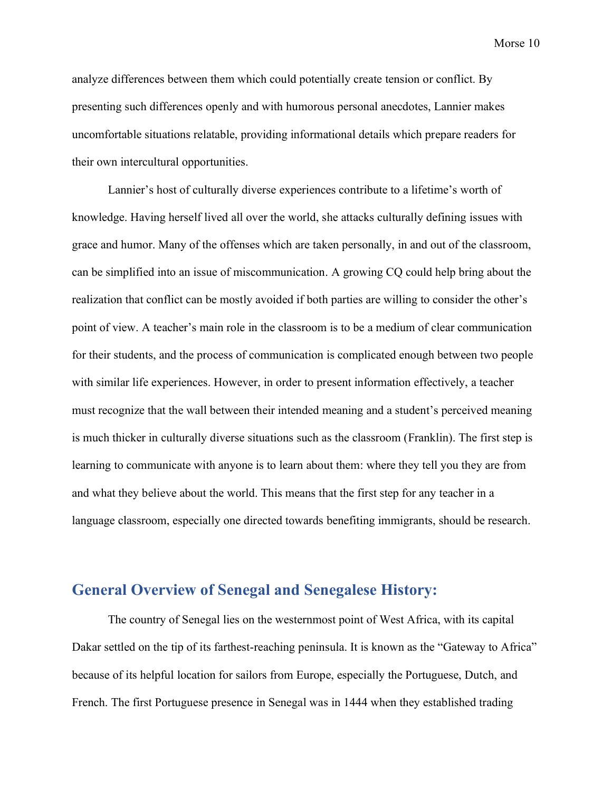analyze differences between them which could potentially create tension or conflict. By presenting such differences openly and with humorous personal anecdotes, Lannier makes uncomfortable situations relatable, providing informational details which prepare readers for their own intercultural opportunities.

Lannier's host of culturally diverse experiences contribute to a lifetime's worth of knowledge. Having herself lived all over the world, she attacks culturally defining issues with grace and humor. Many of the offenses which are taken personally, in and out of the classroom, can be simplified into an issue of miscommunication. A growing CQ could help bring about the realization that conflict can be mostly avoided if both parties are willing to consider the other's point of view. A teacher's main role in the classroom is to be a medium of clear communication for their students, and the process of communication is complicated enough between two people with similar life experiences. However, in order to present information effectively, a teacher must recognize that the wall between their intended meaning and a student's perceived meaning is much thicker in culturally diverse situations such as the classroom (Franklin). The first step is learning to communicate with anyone is to learn about them: where they tell you they are from and what they believe about the world. This means that the first step for any teacher in a language classroom, especially one directed towards benefiting immigrants, should be research.

## <span id="page-11-0"></span>**General Overview of Senegal and Senegalese History:**

The country of Senegal lies on the westernmost point of West Africa, with its capital Dakar settled on the tip of its farthest-reaching peninsula. It is known as the "Gateway to Africa" because of its helpful location for sailors from Europe, especially the Portuguese, Dutch, and French. The first Portuguese presence in Senegal was in 1444 when they established trading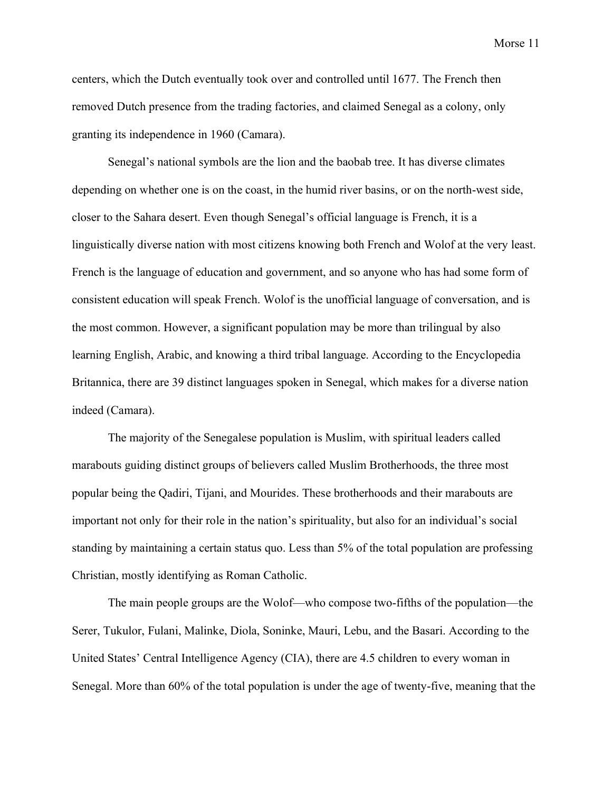centers, which the Dutch eventually took over and controlled until 1677. The French then removed Dutch presence from the trading factories, and claimed Senegal as a colony, only granting its independence in 1960 (Camara).

Senegal's national symbols are the lion and the baobab tree. It has diverse climates depending on whether one is on the coast, in the humid river basins, or on the north-west side, closer to the Sahara desert. Even though Senegal's official language is French, it is a linguistically diverse nation with most citizens knowing both French and Wolof at the very least. French is the language of education and government, and so anyone who has had some form of consistent education will speak French. Wolof is the unofficial language of conversation, and is the most common. However, a significant population may be more than trilingual by also learning English, Arabic, and knowing a third tribal language. According to the Encyclopedia Britannica, there are 39 distinct languages spoken in Senegal, which makes for a diverse nation indeed (Camara).

The majority of the Senegalese population is Muslim, with spiritual leaders called marabouts guiding distinct groups of believers called Muslim Brotherhoods, the three most popular being the Qadiri, Tijani, and Mourides. These brotherhoods and their marabouts are important not only for their role in the nation's spirituality, but also for an individual's social standing by maintaining a certain status quo. Less than 5% of the total population are professing Christian, mostly identifying as Roman Catholic.

The main people groups are the Wolof—who compose two-fifths of the population—the Serer, Tukulor, Fulani, Malinke, Diola, Soninke, Mauri, Lebu, and the Basari. According to the United States' Central Intelligence Agency (CIA), there are 4.5 children to every woman in Senegal. More than 60% of the total population is under the age of twenty-five, meaning that the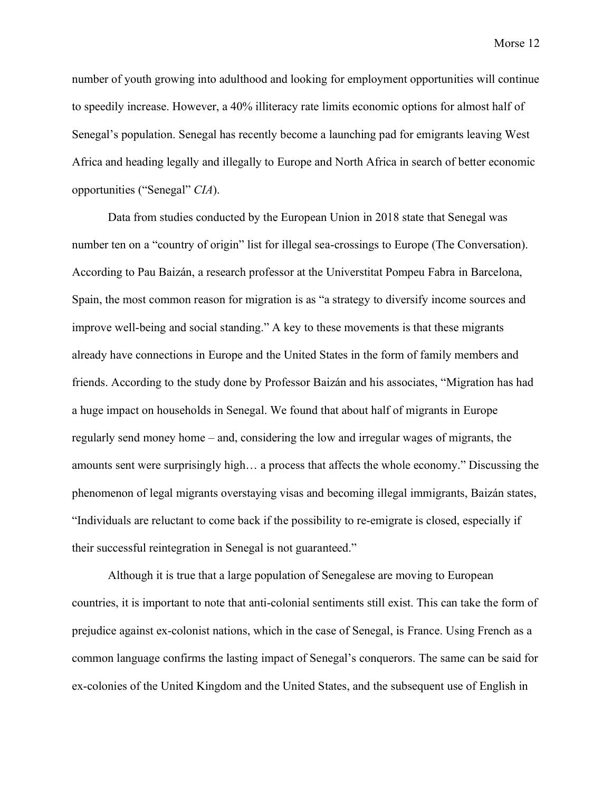number of youth growing into adulthood and looking for employment opportunities will continue to speedily increase. However, a 40% illiteracy rate limits economic options for almost half of Senegal's population. Senegal has recently become a launching pad for emigrants leaving West Africa and heading legally and illegally to Europe and North Africa in search of better economic opportunities ("Senegal" *CIA*).

Data from studies conducted by the European Union in 2018 state that Senegal was number ten on a "country of origin" list for illegal sea-crossings to Europe (The Conversation). According to Pau Baizán, a research professor at the Universtitat Pompeu Fabra in Barcelona, Spain, the most common reason for migration is as "a strategy to diversify income sources and improve well-being and social standing." A key to these movements is that these migrants already have connections in Europe and the United States in the form of family members and friends. According to the study done by Professor Baizán and his associates, "Migration has had a huge impact on households in Senegal. We found that about half of migrants in Europe regularly send money home – and, considering the low and irregular wages of migrants, the amounts sent were surprisingly high… a process that affects the whole economy." Discussing the phenomenon of legal migrants overstaying visas and becoming illegal immigrants, Baizán states, "Individuals are reluctant to come back if the possibility to re-emigrate is closed, especially if their successful reintegration in Senegal is not guaranteed."

Although it is true that a large population of Senegalese are moving to European countries, it is important to note that anti-colonial sentiments still exist. This can take the form of prejudice against ex-colonist nations, which in the case of Senegal, is France. Using French as a common language confirms the lasting impact of Senegal's conquerors. The same can be said for ex-colonies of the United Kingdom and the United States, and the subsequent use of English in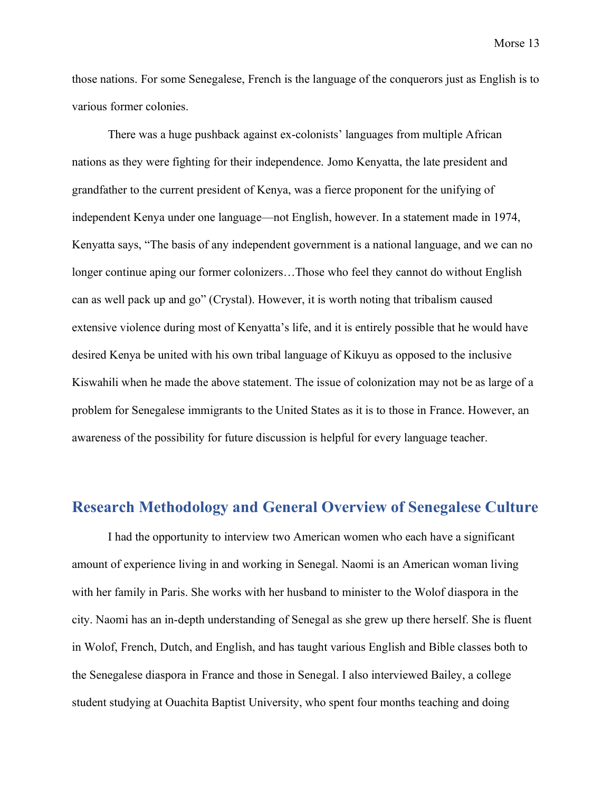those nations. For some Senegalese, French is the language of the conquerors just as English is to various former colonies.

There was a huge pushback against ex-colonists' languages from multiple African nations as they were fighting for their independence. Jomo Kenyatta, the late president and grandfather to the current president of Kenya, was a fierce proponent for the unifying of independent Kenya under one language—not English, however. In a statement made in 1974, Kenyatta says, "The basis of any independent government is a national language, and we can no longer continue aping our former colonizers…Those who feel they cannot do without English can as well pack up and go" (Crystal). However, it is worth noting that tribalism caused extensive violence during most of Kenyatta's life, and it is entirely possible that he would have desired Kenya be united with his own tribal language of Kikuyu as opposed to the inclusive Kiswahili when he made the above statement. The issue of colonization may not be as large of a problem for Senegalese immigrants to the United States as it is to those in France. However, an awareness of the possibility for future discussion is helpful for every language teacher.

## <span id="page-14-0"></span>**Research Methodology and General Overview of Senegalese Culture**

I had the opportunity to interview two American women who each have a significant amount of experience living in and working in Senegal. Naomi is an American woman living with her family in Paris. She works with her husband to minister to the Wolof diaspora in the city. Naomi has an in-depth understanding of Senegal as she grew up there herself. She is fluent in Wolof, French, Dutch, and English, and has taught various English and Bible classes both to the Senegalese diaspora in France and those in Senegal. I also interviewed Bailey, a college student studying at Ouachita Baptist University, who spent four months teaching and doing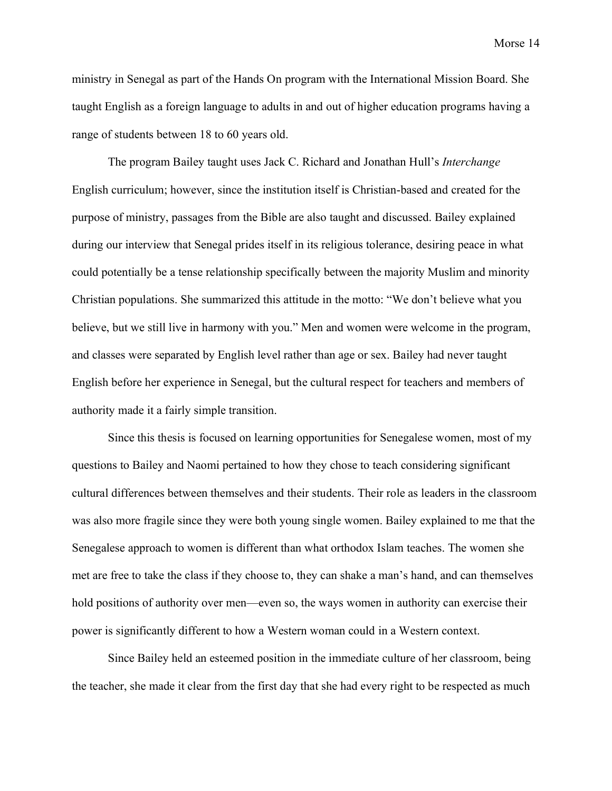ministry in Senegal as part of the Hands On program with the International Mission Board. She taught English as a foreign language to adults in and out of higher education programs having a range of students between 18 to 60 years old.

The program Bailey taught uses Jack C. Richard and Jonathan Hull's *Interchange* English curriculum; however, since the institution itself is Christian-based and created for the purpose of ministry, passages from the Bible are also taught and discussed. Bailey explained during our interview that Senegal prides itself in its religious tolerance, desiring peace in what could potentially be a tense relationship specifically between the majority Muslim and minority Christian populations. She summarized this attitude in the motto: "We don't believe what you believe, but we still live in harmony with you." Men and women were welcome in the program, and classes were separated by English level rather than age or sex. Bailey had never taught English before her experience in Senegal, but the cultural respect for teachers and members of authority made it a fairly simple transition.

Since this thesis is focused on learning opportunities for Senegalese women, most of my questions to Bailey and Naomi pertained to how they chose to teach considering significant cultural differences between themselves and their students. Their role as leaders in the classroom was also more fragile since they were both young single women. Bailey explained to me that the Senegalese approach to women is different than what orthodox Islam teaches. The women she met are free to take the class if they choose to, they can shake a man's hand, and can themselves hold positions of authority over men—even so, the ways women in authority can exercise their power is significantly different to how a Western woman could in a Western context.

Since Bailey held an esteemed position in the immediate culture of her classroom, being the teacher, she made it clear from the first day that she had every right to be respected as much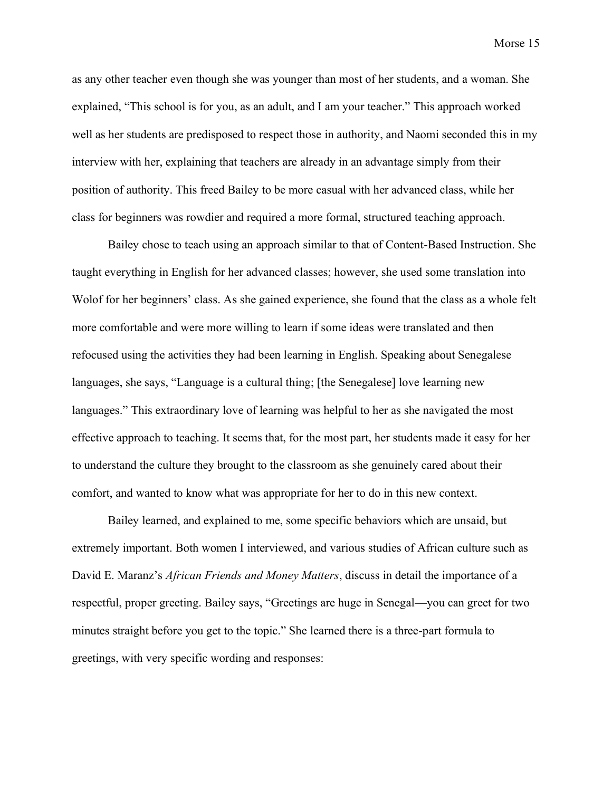as any other teacher even though she was younger than most of her students, and a woman. She explained, "This school is for you, as an adult, and I am your teacher." This approach worked well as her students are predisposed to respect those in authority, and Naomi seconded this in my interview with her, explaining that teachers are already in an advantage simply from their position of authority. This freed Bailey to be more casual with her advanced class, while her class for beginners was rowdier and required a more formal, structured teaching approach.

Bailey chose to teach using an approach similar to that of Content-Based Instruction. She taught everything in English for her advanced classes; however, she used some translation into Wolof for her beginners' class. As she gained experience, she found that the class as a whole felt more comfortable and were more willing to learn if some ideas were translated and then refocused using the activities they had been learning in English. Speaking about Senegalese languages, she says, "Language is a cultural thing; [the Senegalese] love learning new languages." This extraordinary love of learning was helpful to her as she navigated the most effective approach to teaching. It seems that, for the most part, her students made it easy for her to understand the culture they brought to the classroom as she genuinely cared about their comfort, and wanted to know what was appropriate for her to do in this new context.

Bailey learned, and explained to me, some specific behaviors which are unsaid, but extremely important. Both women I interviewed, and various studies of African culture such as David E. Maranz's *African Friends and Money Matters*, discuss in detail the importance of a respectful, proper greeting. Bailey says, "Greetings are huge in Senegal—you can greet for two minutes straight before you get to the topic." She learned there is a three-part formula to greetings, with very specific wording and responses: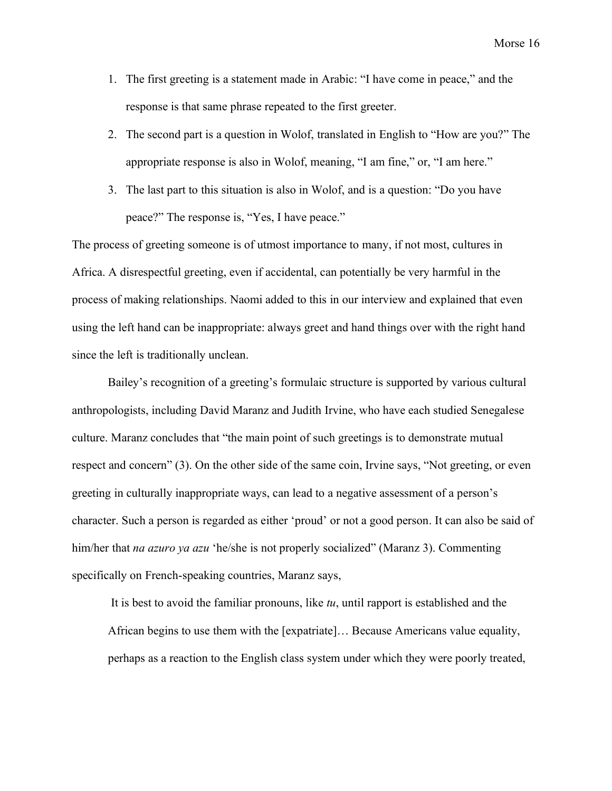- 1. The first greeting is a statement made in Arabic: "I have come in peace," and the response is that same phrase repeated to the first greeter.
- 2. The second part is a question in Wolof, translated in English to "How are you?" The appropriate response is also in Wolof, meaning, "I am fine," or, "I am here."
- 3. The last part to this situation is also in Wolof, and is a question: "Do you have peace?" The response is, "Yes, I have peace."

The process of greeting someone is of utmost importance to many, if not most, cultures in Africa. A disrespectful greeting, even if accidental, can potentially be very harmful in the process of making relationships. Naomi added to this in our interview and explained that even using the left hand can be inappropriate: always greet and hand things over with the right hand since the left is traditionally unclean.

Bailey's recognition of a greeting's formulaic structure is supported by various cultural anthropologists, including David Maranz and Judith Irvine, who have each studied Senegalese culture. Maranz concludes that "the main point of such greetings is to demonstrate mutual respect and concern" (3). On the other side of the same coin, Irvine says, "Not greeting, or even greeting in culturally inappropriate ways, can lead to a negative assessment of a person's character. Such a person is regarded as either 'proud' or not a good person. It can also be said of him/her that *na azuro ya azu* 'he/she is not properly socialized" (Maranz 3). Commenting specifically on French-speaking countries, Maranz says,

It is best to avoid the familiar pronouns, like *tu*, until rapport is established and the African begins to use them with the [expatriate]… Because Americans value equality, perhaps as a reaction to the English class system under which they were poorly treated,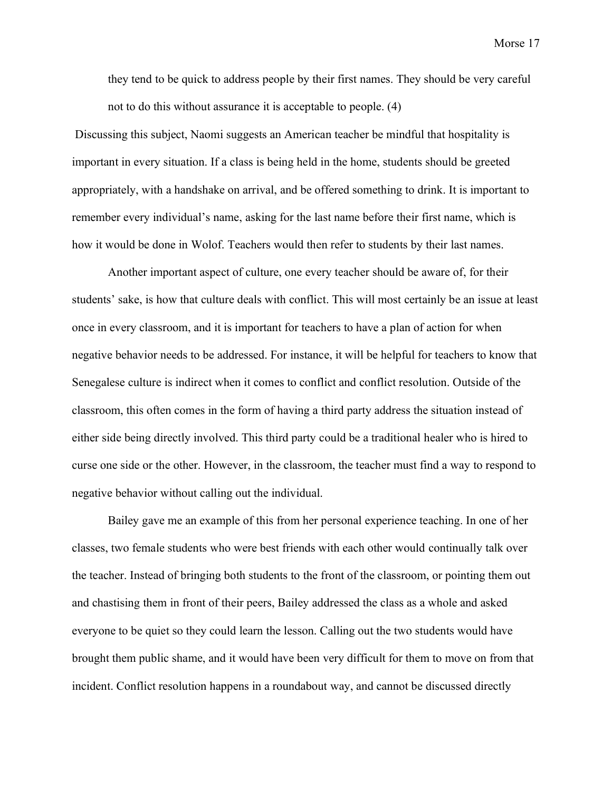they tend to be quick to address people by their first names. They should be very careful not to do this without assurance it is acceptable to people. (4)

Discussing this subject, Naomi suggests an American teacher be mindful that hospitality is important in every situation. If a class is being held in the home, students should be greeted appropriately, with a handshake on arrival, and be offered something to drink. It is important to remember every individual's name, asking for the last name before their first name, which is how it would be done in Wolof. Teachers would then refer to students by their last names.

Another important aspect of culture, one every teacher should be aware of, for their students' sake, is how that culture deals with conflict. This will most certainly be an issue at least once in every classroom, and it is important for teachers to have a plan of action for when negative behavior needs to be addressed. For instance, it will be helpful for teachers to know that Senegalese culture is indirect when it comes to conflict and conflict resolution. Outside of the classroom, this often comes in the form of having a third party address the situation instead of either side being directly involved. This third party could be a traditional healer who is hired to curse one side or the other. However, in the classroom, the teacher must find a way to respond to negative behavior without calling out the individual.

Bailey gave me an example of this from her personal experience teaching. In one of her classes, two female students who were best friends with each other would continually talk over the teacher. Instead of bringing both students to the front of the classroom, or pointing them out and chastising them in front of their peers, Bailey addressed the class as a whole and asked everyone to be quiet so they could learn the lesson. Calling out the two students would have brought them public shame, and it would have been very difficult for them to move on from that incident. Conflict resolution happens in a roundabout way, and cannot be discussed directly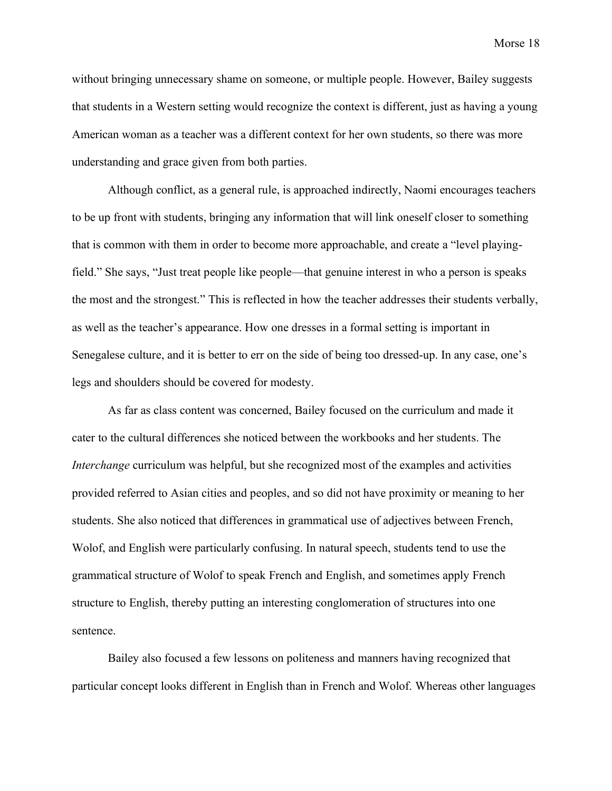without bringing unnecessary shame on someone, or multiple people. However, Bailey suggests that students in a Western setting would recognize the context is different, just as having a young American woman as a teacher was a different context for her own students, so there was more understanding and grace given from both parties.

Although conflict, as a general rule, is approached indirectly, Naomi encourages teachers to be up front with students, bringing any information that will link oneself closer to something that is common with them in order to become more approachable, and create a "level playingfield." She says, "Just treat people like people—that genuine interest in who a person is speaks the most and the strongest." This is reflected in how the teacher addresses their students verbally, as well as the teacher's appearance. How one dresses in a formal setting is important in Senegalese culture, and it is better to err on the side of being too dressed-up. In any case, one's legs and shoulders should be covered for modesty.

As far as class content was concerned, Bailey focused on the curriculum and made it cater to the cultural differences she noticed between the workbooks and her students. The *Interchange* curriculum was helpful, but she recognized most of the examples and activities provided referred to Asian cities and peoples, and so did not have proximity or meaning to her students. She also noticed that differences in grammatical use of adjectives between French, Wolof, and English were particularly confusing. In natural speech, students tend to use the grammatical structure of Wolof to speak French and English, and sometimes apply French structure to English, thereby putting an interesting conglomeration of structures into one sentence.

Bailey also focused a few lessons on politeness and manners having recognized that particular concept looks different in English than in French and Wolof. Whereas other languages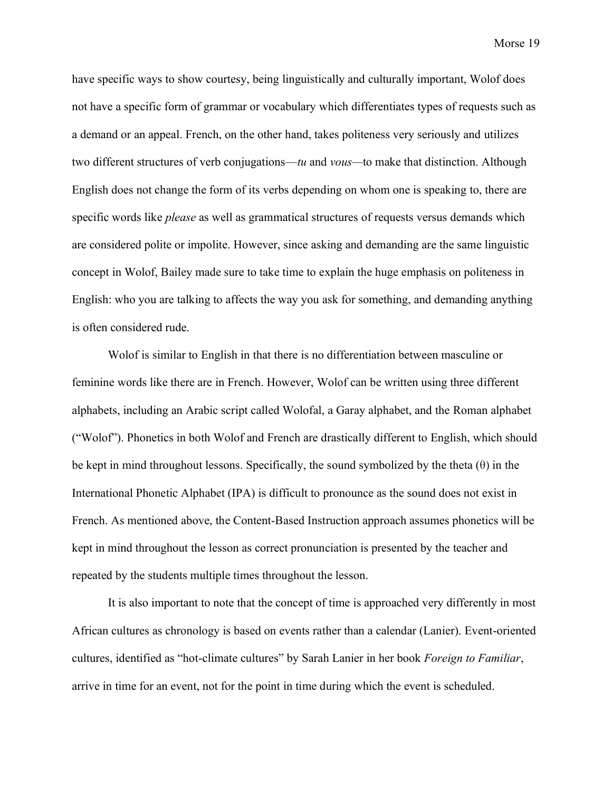have specific ways to show courtesy, being linguistically and culturally important, Wolof does not have a specific form of grammar or vocabulary which differentiates types of requests such as a demand or an appeal. French, on the other hand, takes politeness very seriously and utilizes two different structures of verb conjugations—*tu* and *vous—*to make that distinction. Although English does not change the form of its verbs depending on whom one is speaking to, there are specific words like *please* as well as grammatical structures of requests versus demands which are considered polite or impolite. However, since asking and demanding are the same linguistic concept in Wolof, Bailey made sure to take time to explain the huge emphasis on politeness in English: who you are talking to affects the way you ask for something, and demanding anything is often considered rude.

Wolof is similar to English in that there is no differentiation between masculine or feminine words like there are in French. However, Wolof can be written using three different alphabets, including an Arabic script called Wolofal, a Garay alphabet, and the Roman alphabet ("Wolof"). Phonetics in both Wolof and French are drastically different to English, which should be kept in mind throughout lessons. Specifically, the sound symbolized by the theta  $(\theta)$  in the International Phonetic Alphabet (IPA) is difficult to pronounce as the sound does not exist in French. As mentioned above, the Content-Based Instruction approach assumes phonetics will be kept in mind throughout the lesson as correct pronunciation is presented by the teacher and repeated by the students multiple times throughout the lesson.

It is also important to note that the concept of time is approached very differently in most African cultures as chronology is based on events rather than a calendar (Lanier). Event-oriented cultures, identified as "hot-climate cultures" by Sarah Lanier in her book *Foreign to Familiar*, arrive in time for an event, not for the point in time during which the event is scheduled.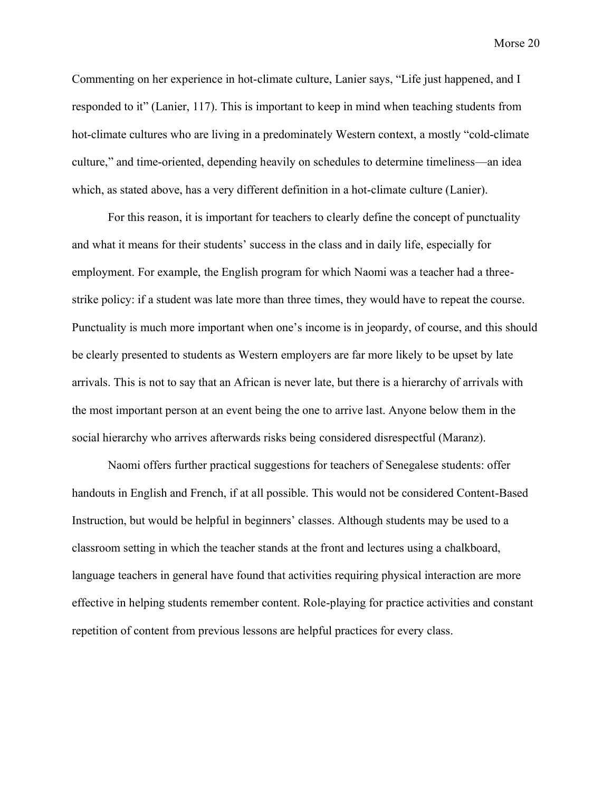Commenting on her experience in hot-climate culture, Lanier says, "Life just happened, and I responded to it" (Lanier, 117). This is important to keep in mind when teaching students from hot-climate cultures who are living in a predominately Western context, a mostly "cold-climate culture," and time-oriented, depending heavily on schedules to determine timeliness—an idea which, as stated above, has a very different definition in a hot-climate culture (Lanier).

For this reason, it is important for teachers to clearly define the concept of punctuality and what it means for their students' success in the class and in daily life, especially for employment. For example, the English program for which Naomi was a teacher had a threestrike policy: if a student was late more than three times, they would have to repeat the course. Punctuality is much more important when one's income is in jeopardy, of course, and this should be clearly presented to students as Western employers are far more likely to be upset by late arrivals. This is not to say that an African is never late, but there is a hierarchy of arrivals with the most important person at an event being the one to arrive last. Anyone below them in the social hierarchy who arrives afterwards risks being considered disrespectful (Maranz).

<span id="page-21-0"></span>Naomi offers further practical suggestions for teachers of Senegalese students: offer handouts in English and French, if at all possible. This would not be considered Content-Based Instruction, but would be helpful in beginners' classes. Although students may be used to a classroom setting in which the teacher stands at the front and lectures using a chalkboard, language teachers in general have found that activities requiring physical interaction are more effective in helping students remember content. Role-playing for practice activities and constant repetition of content from previous lessons are helpful practices for every class.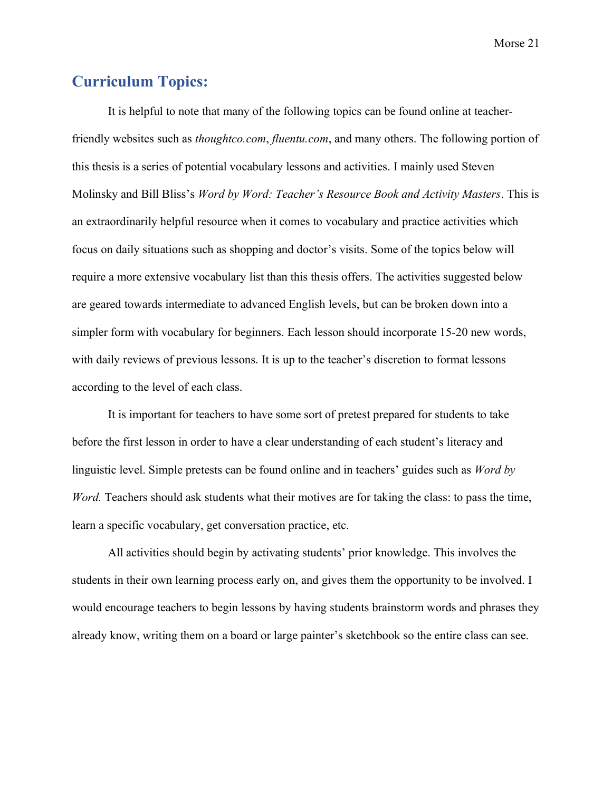# **Curriculum Topics:**

It is helpful to note that many of the following topics can be found online at teacherfriendly websites such as *thoughtco.com*, *fluentu.com*, and many others. The following portion of this thesis is a series of potential vocabulary lessons and activities. I mainly used Steven Molinsky and Bill Bliss's *Word by Word: Teacher's Resource Book and Activity Masters*. This is an extraordinarily helpful resource when it comes to vocabulary and practice activities which focus on daily situations such as shopping and doctor's visits. Some of the topics below will require a more extensive vocabulary list than this thesis offers. The activities suggested below are geared towards intermediate to advanced English levels, but can be broken down into a simpler form with vocabulary for beginners. Each lesson should incorporate 15-20 new words, with daily reviews of previous lessons. It is up to the teacher's discretion to format lessons according to the level of each class.

It is important for teachers to have some sort of pretest prepared for students to take before the first lesson in order to have a clear understanding of each student's literacy and linguistic level. Simple pretests can be found online and in teachers' guides such as *Word by Word.* Teachers should ask students what their motives are for taking the class: to pass the time, learn a specific vocabulary, get conversation practice, etc.

All activities should begin by activating students' prior knowledge. This involves the students in their own learning process early on, and gives them the opportunity to be involved. I would encourage teachers to begin lessons by having students brainstorm words and phrases they already know, writing them on a board or large painter's sketchbook so the entire class can see.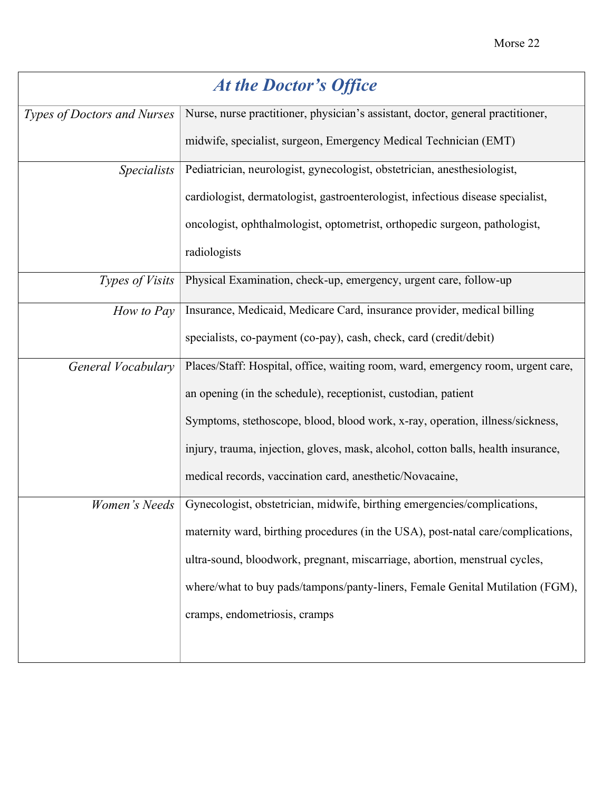<span id="page-23-0"></span>

| At the Doctor's Office      |                                                                                   |  |
|-----------------------------|-----------------------------------------------------------------------------------|--|
| Types of Doctors and Nurses | Nurse, nurse practitioner, physician's assistant, doctor, general practitioner,   |  |
|                             | midwife, specialist, surgeon, Emergency Medical Technician (EMT)                  |  |
| <i>Specialists</i>          | Pediatrician, neurologist, gynecologist, obstetrician, anesthesiologist,          |  |
|                             | cardiologist, dermatologist, gastroenterologist, infectious disease specialist,   |  |
|                             | oncologist, ophthalmologist, optometrist, orthopedic surgeon, pathologist,        |  |
|                             | radiologists                                                                      |  |
| Types of Visits             | Physical Examination, check-up, emergency, urgent care, follow-up                 |  |
| How to Pay                  | Insurance, Medicaid, Medicare Card, insurance provider, medical billing           |  |
|                             | specialists, co-payment (co-pay), cash, check, card (credit/debit)                |  |
| General Vocabulary          | Places/Staff: Hospital, office, waiting room, ward, emergency room, urgent care,  |  |
|                             | an opening (in the schedule), receptionist, custodian, patient                    |  |
|                             | Symptoms, stethoscope, blood, blood work, x-ray, operation, illness/sickness,     |  |
|                             | injury, trauma, injection, gloves, mask, alcohol, cotton balls, health insurance, |  |
|                             | medical records, vaccination card, anesthetic/Novacaine,                          |  |
| Women's Needs               | Gynecologist, obstetrician, midwife, birthing emergencies/complications,          |  |
|                             | maternity ward, birthing procedures (in the USA), post-natal care/complications,  |  |
|                             | ultra-sound, bloodwork, pregnant, miscarriage, abortion, menstrual cycles,        |  |
|                             | where/what to buy pads/tampons/panty-liners, Female Genital Mutilation (FGM),     |  |
|                             | cramps, endometriosis, cramps                                                     |  |
|                             |                                                                                   |  |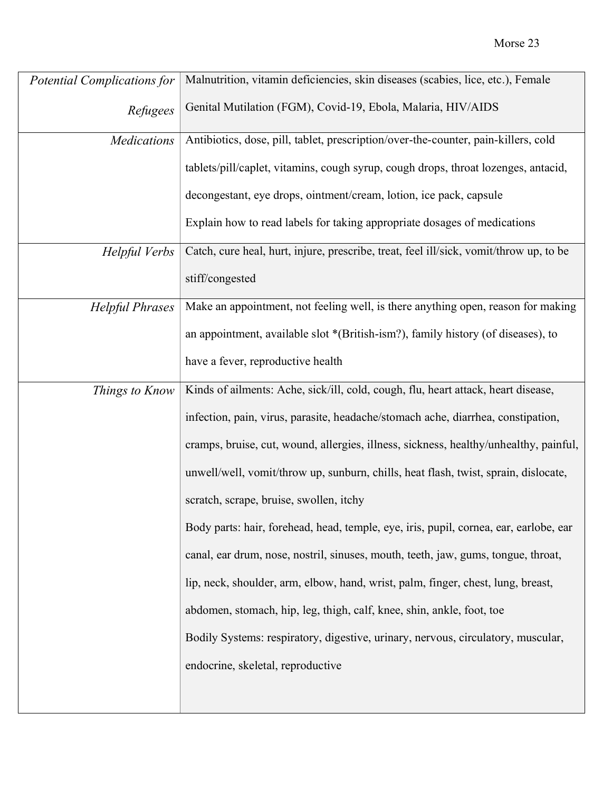| <b>Potential Complications for</b> | Malnutrition, vitamin deficiencies, skin diseases (scabies, lice, etc.), Female        |
|------------------------------------|----------------------------------------------------------------------------------------|
| Refugees                           | Genital Mutilation (FGM), Covid-19, Ebola, Malaria, HIV/AIDS                           |
| <b>Medications</b>                 | Antibiotics, dose, pill, tablet, prescription/over-the-counter, pain-killers, cold     |
|                                    | tablets/pill/caplet, vitamins, cough syrup, cough drops, throat lozenges, antacid,     |
|                                    | decongestant, eye drops, ointment/cream, lotion, ice pack, capsule                     |
|                                    | Explain how to read labels for taking appropriate dosages of medications               |
| Helpful Verbs                      | Catch, cure heal, hurt, injure, prescribe, treat, feel ill/sick, vomit/throw up, to be |
|                                    | stiff/congested                                                                        |
| <b>Helpful Phrases</b>             | Make an appointment, not feeling well, is there anything open, reason for making       |
|                                    | an appointment, available slot *(British-ism?), family history (of diseases), to       |
|                                    | have a fever, reproductive health                                                      |
| Things to Know                     | Kinds of ailments: Ache, sick/ill, cold, cough, flu, heart attack, heart disease,      |
|                                    | infection, pain, virus, parasite, headache/stomach ache, diarrhea, constipation,       |
|                                    | cramps, bruise, cut, wound, allergies, illness, sickness, healthy/unhealthy, painful,  |
|                                    | unwell/well, vomit/throw up, sunburn, chills, heat flash, twist, sprain, dislocate,    |
|                                    | scratch, scrape, bruise, swollen, itchy                                                |
|                                    | Body parts: hair, forehead, head, temple, eye, iris, pupil, cornea, ear, earlobe, ear  |
|                                    | canal, ear drum, nose, nostril, sinuses, mouth, teeth, jaw, gums, tongue, throat,      |
|                                    | lip, neck, shoulder, arm, elbow, hand, wrist, palm, finger, chest, lung, breast,       |
|                                    | abdomen, stomach, hip, leg, thigh, calf, knee, shin, ankle, foot, toe                  |
|                                    | Bodily Systems: respiratory, digestive, urinary, nervous, circulatory, muscular,       |
|                                    | endocrine, skeletal, reproductive                                                      |
|                                    |                                                                                        |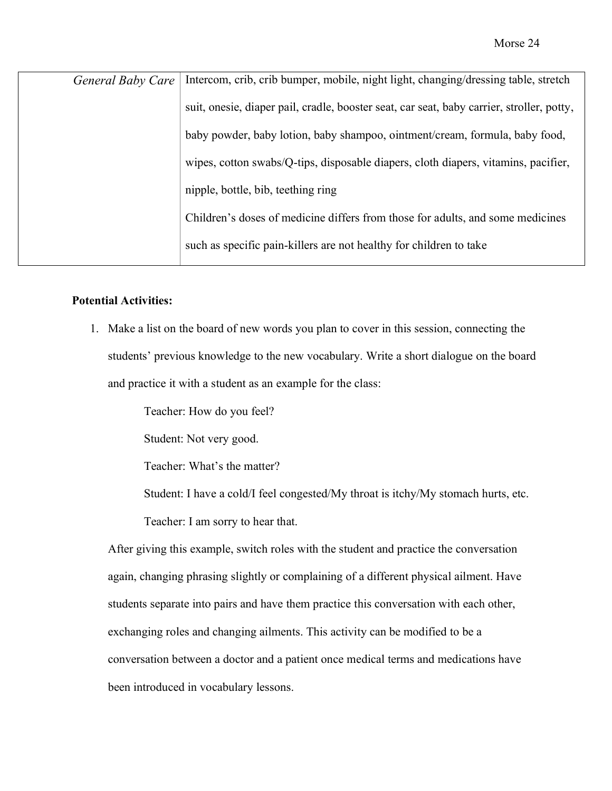| General Baby Care | Intercom, crib, crib bumper, mobile, night light, changing/dressing table, stretch         |
|-------------------|--------------------------------------------------------------------------------------------|
|                   | suit, one sie, diaper pail, cradle, booster seat, car seat, baby carrier, stroller, potty, |
|                   | baby powder, baby lotion, baby shampoo, ointment/cream, formula, baby food,                |
|                   | wipes, cotton swabs/Q-tips, disposable diapers, cloth diapers, vitamins, pacifier,         |
|                   | nipple, bottle, bib, teething ring                                                         |
|                   | Children's doses of medicine differs from those for adults, and some medicines             |
|                   | such as specific pain-killers are not healthy for children to take                         |
|                   |                                                                                            |

#### **Potential Activities:**

1. Make a list on the board of new words you plan to cover in this session, connecting the students' previous knowledge to the new vocabulary. Write a short dialogue on the board and practice it with a student as an example for the class:

> Teacher: How do you feel? Student: Not very good. Teacher: What's the matter? Student: I have a cold/I feel congested/My throat is itchy/My stomach hurts, etc. Teacher: I am sorry to hear that.

After giving this example, switch roles with the student and practice the conversation again, changing phrasing slightly or complaining of a different physical ailment. Have students separate into pairs and have them practice this conversation with each other, exchanging roles and changing ailments. This activity can be modified to be a conversation between a doctor and a patient once medical terms and medications have been introduced in vocabulary lessons.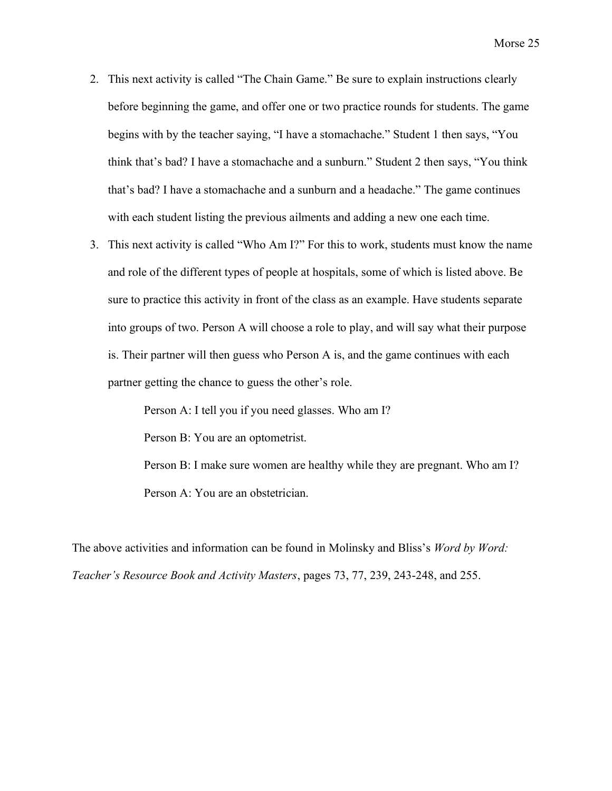- 2. This next activity is called "The Chain Game." Be sure to explain instructions clearly before beginning the game, and offer one or two practice rounds for students. The game begins with by the teacher saying, "I have a stomachache." Student 1 then says, "You think that's bad? I have a stomachache and a sunburn." Student 2 then says, "You think that's bad? I have a stomachache and a sunburn and a headache." The game continues with each student listing the previous ailments and adding a new one each time.
- 3. This next activity is called "Who Am I?" For this to work, students must know the name and role of the different types of people at hospitals, some of which is listed above. Be sure to practice this activity in front of the class as an example. Have students separate into groups of two. Person A will choose a role to play, and will say what their purpose is. Their partner will then guess who Person A is, and the game continues with each partner getting the chance to guess the other's role.

Person A: I tell you if you need glasses. Who am I? Person B: You are an optometrist. Person B: I make sure women are healthy while they are pregnant. Who am I? Person A: You are an obstetrician.

The above activities and information can be found in Molinsky and Bliss's *Word by Word: Teacher's Resource Book and Activity Masters*, pages 73, 77, 239, 243-248, and 255.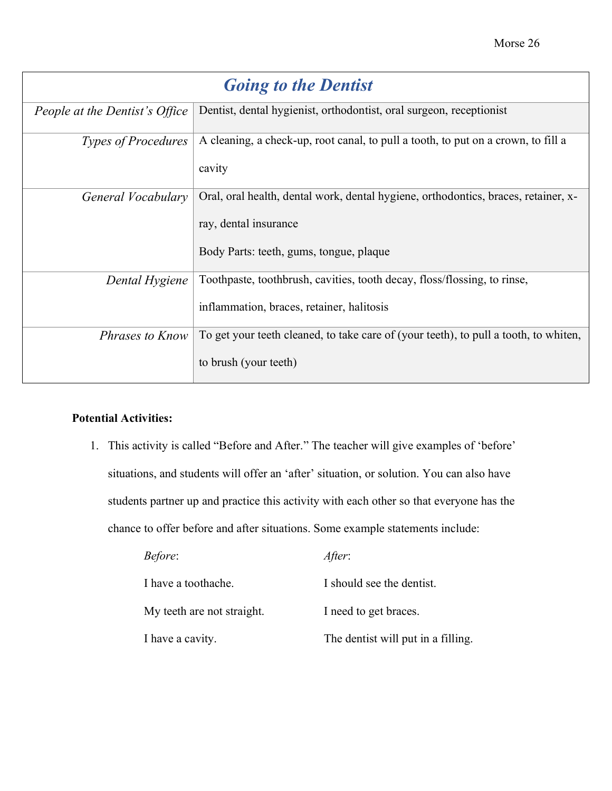<span id="page-27-0"></span>

| <b>Going to the Dentist</b>    |                                                                                                                                                        |
|--------------------------------|--------------------------------------------------------------------------------------------------------------------------------------------------------|
| People at the Dentist's Office | Dentist, dental hygienist, orthodontist, oral surgeon, receptionist                                                                                    |
| <b>Types of Procedures</b>     | A cleaning, a check-up, root canal, to pull a tooth, to put on a crown, to fill a<br>cavity                                                            |
| General Vocabulary             | Oral, oral health, dental work, dental hygiene, orthodontics, braces, retainer, x-<br>ray, dental insurance<br>Body Parts: teeth, gums, tongue, plaque |
| Dental Hygiene                 | Toothpaste, toothbrush, cavities, tooth decay, floss/flossing, to rinse,<br>inflammation, braces, retainer, halitosis                                  |
| <i>Phrases to Know</i>         | To get your teeth cleaned, to take care of (your teeth), to pull a tooth, to whiten,<br>to brush (your teeth)                                          |

#### **Potential Activities:**

1. This activity is called "Before and After." The teacher will give examples of 'before' situations, and students will offer an 'after' situation, or solution. You can also have students partner up and practice this activity with each other so that everyone has the chance to offer before and after situations. Some example statements include:

| <i>Before:</i>             | After:                             |
|----------------------------|------------------------------------|
| I have a toothache.        | I should see the dentist.          |
| My teeth are not straight. | I need to get braces.              |
| I have a cavity.           | The dentist will put in a filling. |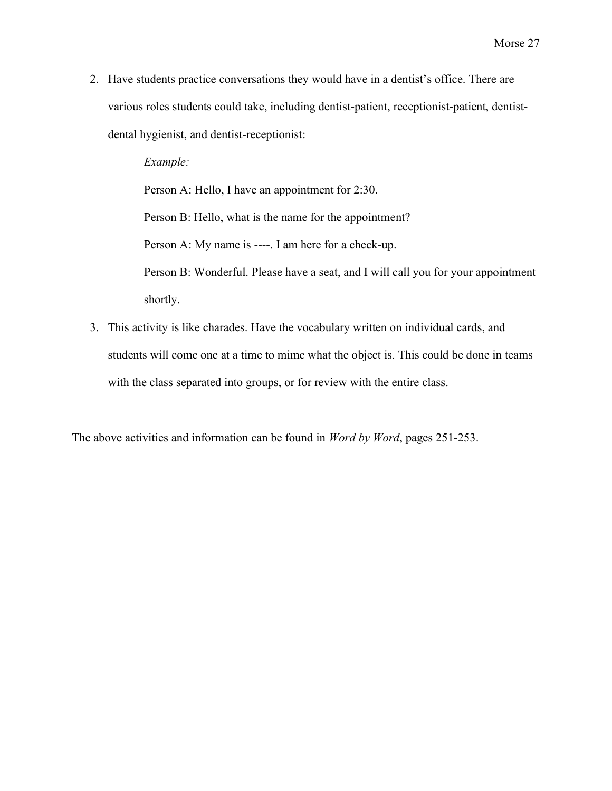2. Have students practice conversations they would have in a dentist's office. There are various roles students could take, including dentist-patient, receptionist-patient, dentistdental hygienist, and dentist-receptionist:

> *Example:* Person A: Hello, I have an appointment for 2:30. Person B: Hello, what is the name for the appointment? Person A: My name is ----. I am here for a check-up. Person B: Wonderful. Please have a seat, and I will call you for your appointment shortly.

3. This activity is like charades. Have the vocabulary written on individual cards, and students will come one at a time to mime what the object is. This could be done in teams with the class separated into groups, or for review with the entire class.

The above activities and information can be found in *Word by Word*, pages 251-253.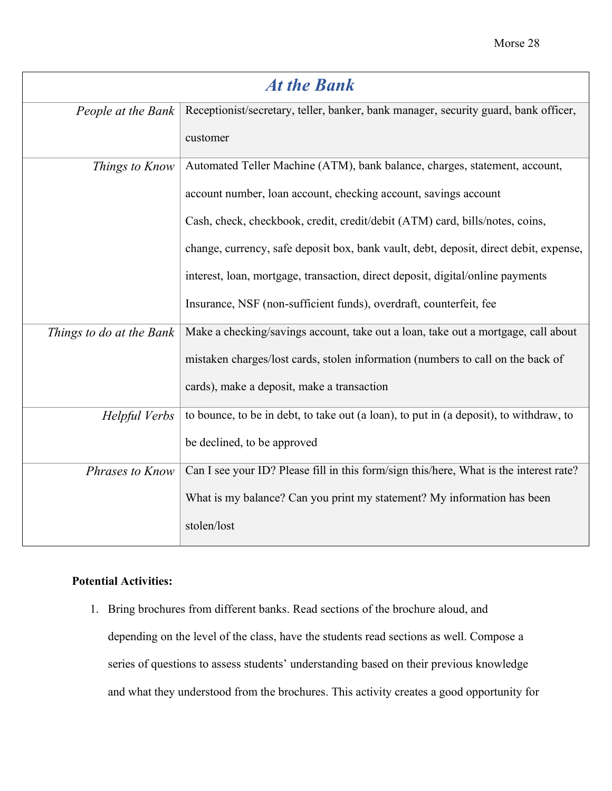<span id="page-29-0"></span>

| <b>At the Bank</b>       |                                                                                        |
|--------------------------|----------------------------------------------------------------------------------------|
| People at the Bank       | Receptionist/secretary, teller, banker, bank manager, security guard, bank officer,    |
|                          | customer                                                                               |
| Things to Know           | Automated Teller Machine (ATM), bank balance, charges, statement, account,             |
|                          | account number, loan account, checking account, savings account                        |
|                          | Cash, check, checkbook, credit, credit/debit (ATM) card, bills/notes, coins,           |
|                          | change, currency, safe deposit box, bank vault, debt, deposit, direct debit, expense,  |
|                          | interest, loan, mortgage, transaction, direct deposit, digital/online payments         |
|                          | Insurance, NSF (non-sufficient funds), overdraft, counterfeit, fee                     |
| Things to do at the Bank | Make a checking/savings account, take out a loan, take out a mortgage, call about      |
|                          | mistaken charges/lost cards, stolen information (numbers to call on the back of        |
|                          | cards), make a deposit, make a transaction                                             |
| Helpful Verbs            | to bounce, to be in debt, to take out (a loan), to put in (a deposit), to withdraw, to |
|                          | be declined, to be approved                                                            |
| Phrases to Know          | Can I see your ID? Please fill in this form/sign this/here, What is the interest rate? |
|                          | What is my balance? Can you print my statement? My information has been                |
|                          | stolen/lost                                                                            |

#### **Potential Activities:**

1. Bring brochures from different banks. Read sections of the brochure aloud, and depending on the level of the class, have the students read sections as well. Compose a series of questions to assess students' understanding based on their previous knowledge and what they understood from the brochures. This activity creates a good opportunity for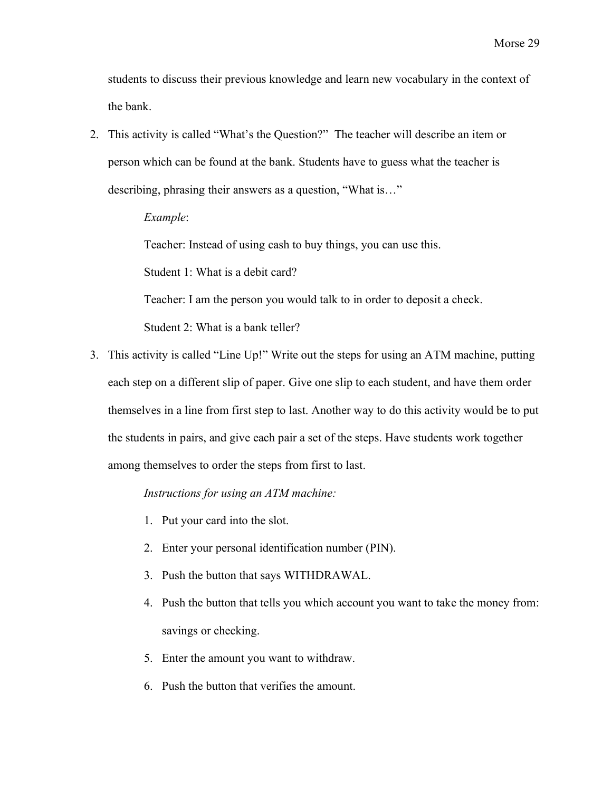students to discuss their previous knowledge and learn new vocabulary in the context of the bank.

2. This activity is called "What's the Question?" The teacher will describe an item or person which can be found at the bank. Students have to guess what the teacher is describing, phrasing their answers as a question, "What is…"

*Example*:

Teacher: Instead of using cash to buy things, you can use this.

Student 1: What is a debit card?

Teacher: I am the person you would talk to in order to deposit a check.

Student 2: What is a bank teller?

3. This activity is called "Line Up!" Write out the steps for using an ATM machine, putting each step on a different slip of paper. Give one slip to each student, and have them order themselves in a line from first step to last. Another way to do this activity would be to put the students in pairs, and give each pair a set of the steps. Have students work together among themselves to order the steps from first to last.

*Instructions for using an ATM machine:*

- 1. Put your card into the slot.
- 2. Enter your personal identification number (PIN).
- 3. Push the button that says WITHDRAWAL.
- 4. Push the button that tells you which account you want to take the money from: savings or checking.
- 5. Enter the amount you want to withdraw.
- 6. Push the button that verifies the amount.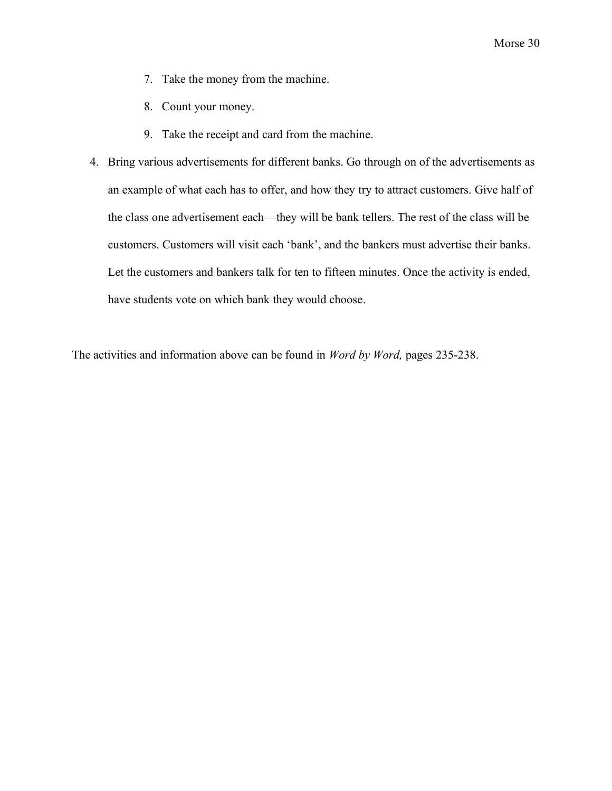- 7. Take the money from the machine.
- 8. Count your money.
- 9. Take the receipt and card from the machine.
- 4. Bring various advertisements for different banks. Go through on of the advertisements as an example of what each has to offer, and how they try to attract customers. Give half of the class one advertisement each—they will be bank tellers. The rest of the class will be customers. Customers will visit each 'bank', and the bankers must advertise their banks. Let the customers and bankers talk for ten to fifteen minutes. Once the activity is ended, have students vote on which bank they would choose.

The activities and information above can be found in *Word by Word,* pages 235-238.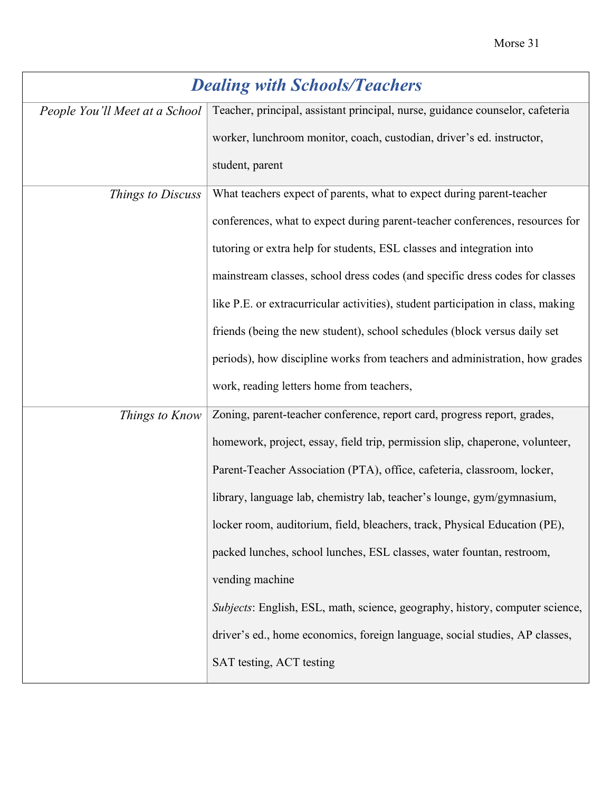<span id="page-32-0"></span>

| <b>Dealing with Schools/Teachers</b> |                                                                                  |
|--------------------------------------|----------------------------------------------------------------------------------|
| People You'll Meet at a School       | Teacher, principal, assistant principal, nurse, guidance counselor, cafeteria    |
|                                      | worker, lunchroom monitor, coach, custodian, driver's ed. instructor,            |
|                                      | student, parent                                                                  |
| Things to Discuss                    | What teachers expect of parents, what to expect during parent-teacher            |
|                                      | conferences, what to expect during parent-teacher conferences, resources for     |
|                                      | tutoring or extra help for students, ESL classes and integration into            |
|                                      | mainstream classes, school dress codes (and specific dress codes for classes     |
|                                      | like P.E. or extracurricular activities), student participation in class, making |
|                                      | friends (being the new student), school schedules (block versus daily set        |
|                                      | periods), how discipline works from teachers and administration, how grades      |
|                                      | work, reading letters home from teachers,                                        |
| Things to Know                       | Zoning, parent-teacher conference, report card, progress report, grades,         |
|                                      | homework, project, essay, field trip, permission slip, chaperone, volunteer,     |
|                                      | Parent-Teacher Association (PTA), office, cafeteria, classroom, locker,          |
|                                      | library, language lab, chemistry lab, teacher's lounge, gym/gymnasium,           |
|                                      | locker room, auditorium, field, bleachers, track, Physical Education (PE),       |
|                                      | packed lunches, school lunches, ESL classes, water fountan, restroom,            |
|                                      | vending machine                                                                  |
|                                      | Subjects: English, ESL, math, science, geography, history, computer science,     |
|                                      | driver's ed., home economics, foreign language, social studies, AP classes,      |
|                                      | SAT testing, ACT testing                                                         |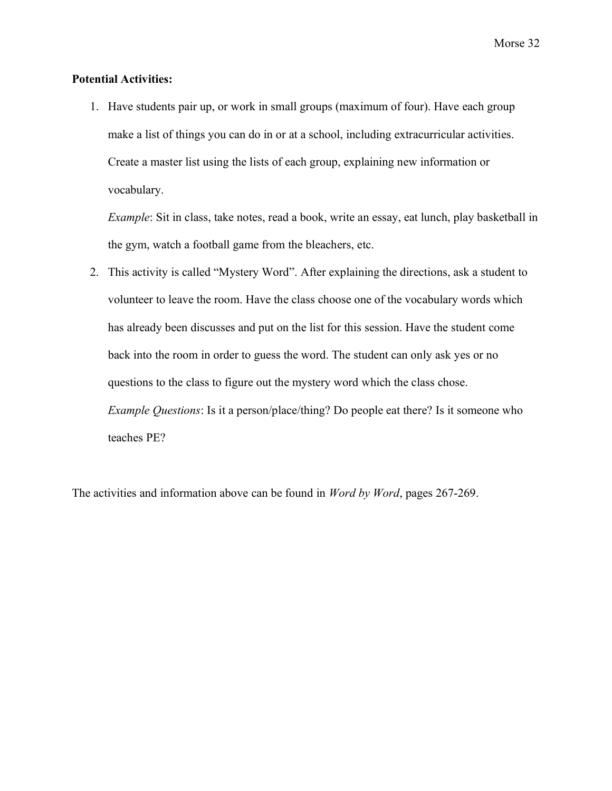#### **Potential Activities:**

1. Have students pair up, or work in small groups (maximum of four). Have each group make a list of things you can do in or at a school, including extracurricular activities. Create a master list using the lists of each group, explaining new information or vocabulary.

*Example*: Sit in class, take notes, read a book, write an essay, eat lunch, play basketball in the gym, watch a football game from the bleachers, etc.

2. This activity is called "Mystery Word". After explaining the directions, ask a student to volunteer to leave the room. Have the class choose one of the vocabulary words which has already been discusses and put on the list for this session. Have the student come back into the room in order to guess the word. The student can only ask yes or no questions to the class to figure out the mystery word which the class chose. *Example Questions*: Is it a person/place/thing? Do people eat there? Is it someone who teaches PE?

The activities and information above can be found in *Word by Word*, pages 267-269.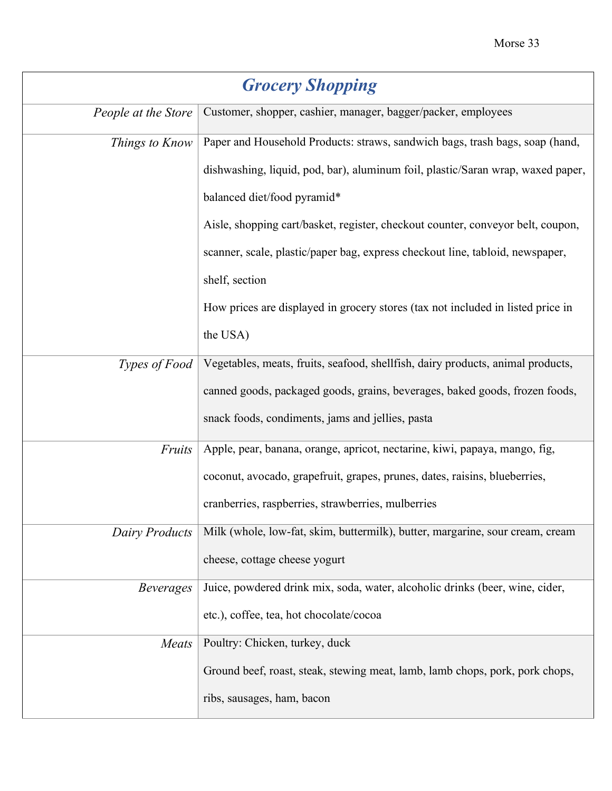<span id="page-34-0"></span>

| <b>Grocery Shopping</b> |                                                                                 |
|-------------------------|---------------------------------------------------------------------------------|
| People at the Store     | Customer, shopper, cashier, manager, bagger/packer, employees                   |
| Things to Know          | Paper and Household Products: straws, sandwich bags, trash bags, soap (hand,    |
|                         | dishwashing, liquid, pod, bar), aluminum foil, plastic/Saran wrap, waxed paper, |
|                         | balanced diet/food pyramid*                                                     |
|                         | Aisle, shopping cart/basket, register, checkout counter, conveyor belt, coupon, |
|                         | scanner, scale, plastic/paper bag, express checkout line, tabloid, newspaper,   |
|                         | shelf, section                                                                  |
|                         | How prices are displayed in grocery stores (tax not included in listed price in |
|                         | the USA)                                                                        |
| Types of Food           | Vegetables, meats, fruits, seafood, shellfish, dairy products, animal products, |
|                         | canned goods, packaged goods, grains, beverages, baked goods, frozen foods,     |
|                         | snack foods, condiments, jams and jellies, pasta                                |
| Fruits                  | Apple, pear, banana, orange, apricot, nectarine, kiwi, papaya, mango, fig,      |
|                         | coconut, avocado, grapefruit, grapes, prunes, dates, raisins, blueberries,      |
|                         | cranberries, raspberries, strawberries, mulberries                              |
| <b>Dairy Products</b>   | Milk (whole, low-fat, skim, buttermilk), butter, margarine, sour cream, cream   |
|                         | cheese, cottage cheese yogurt                                                   |
| <b>Beverages</b>        | Juice, powdered drink mix, soda, water, alcoholic drinks (beer, wine, cider,    |
|                         | etc.), coffee, tea, hot chocolate/cocoa                                         |
| Meats                   | Poultry: Chicken, turkey, duck                                                  |
|                         | Ground beef, roast, steak, stewing meat, lamb, lamb chops, pork, pork chops,    |
|                         | ribs, sausages, ham, bacon                                                      |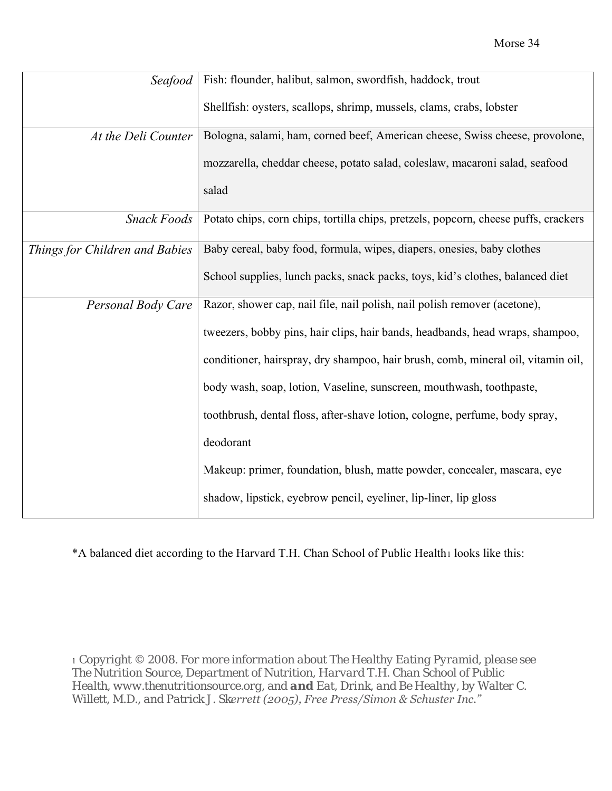| Seafood                        | Fish: flounder, halibut, salmon, swordfish, haddock, trout                          |
|--------------------------------|-------------------------------------------------------------------------------------|
|                                | Shellfish: oysters, scallops, shrimp, mussels, clams, crabs, lobster                |
| At the Deli Counter            | Bologna, salami, ham, corned beef, American cheese, Swiss cheese, provolone,        |
|                                | mozzarella, cheddar cheese, potato salad, coleslaw, macaroni salad, seafood         |
|                                | salad                                                                               |
| <b>Snack Foods</b>             | Potato chips, corn chips, tortilla chips, pretzels, popcorn, cheese puffs, crackers |
| Things for Children and Babies | Baby cereal, baby food, formula, wipes, diapers, onesies, baby clothes              |
|                                | School supplies, lunch packs, snack packs, toys, kid's clothes, balanced diet       |
| Personal Body Care             | Razor, shower cap, nail file, nail polish, nail polish remover (acetone),           |
|                                | tweezers, bobby pins, hair clips, hair bands, headbands, head wraps, shampoo,       |
|                                | conditioner, hairspray, dry shampoo, hair brush, comb, mineral oil, vitamin oil,    |
|                                | body wash, soap, lotion, Vaseline, sunscreen, mouthwash, toothpaste,                |
|                                | toothbrush, dental floss, after-shave lotion, cologne, perfume, body spray,         |
|                                | deodorant                                                                           |
|                                | Makeup: primer, foundation, blush, matte powder, concealer, mascara, eye            |
|                                | shadow, lipstick, eyebrow pencil, eyeliner, lip-liner, lip gloss                    |

\*A balanced diet according to the Harvard T.H. Chan School of Public Health<sup>1</sup> looks like this:

<sup>1</sup> *Copyright © 2008. For more information about The Healthy Eating Pyramid, please see The Nutrition Source, Department of Nutrition, Harvard T.H. Chan School of Public Health, www.thenutritionsource.org, and and Eat, Drink, and Be Healthy, by Walter C. Willett, M.D., and Patrick J. Skerrett (2005), Free Press/Simon & Schuster Inc."*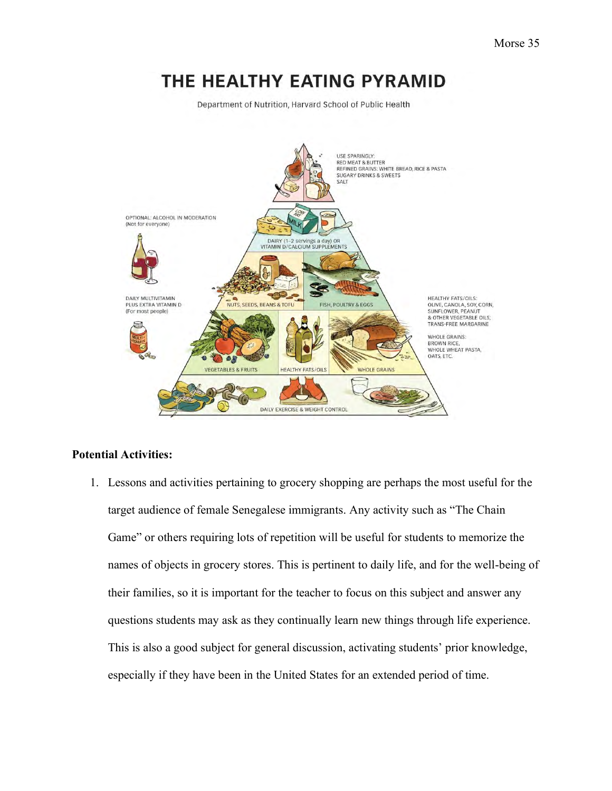# THE HEALTHY EATING PYRAMID

Department of Nutrition, Harvard School of Public Health



#### **Potential Activities:**

1. Lessons and activities pertaining to grocery shopping are perhaps the most useful for the target audience of female Senegalese immigrants. Any activity such as "The Chain Game" or others requiring lots of repetition will be useful for students to memorize the names of objects in grocery stores. This is pertinent to daily life, and for the well-being of their families, so it is important for the teacher to focus on this subject and answer any questions students may ask as they continually learn new things through life experience. This is also a good subject for general discussion, activating students' prior knowledge, especially if they have been in the United States for an extended period of time.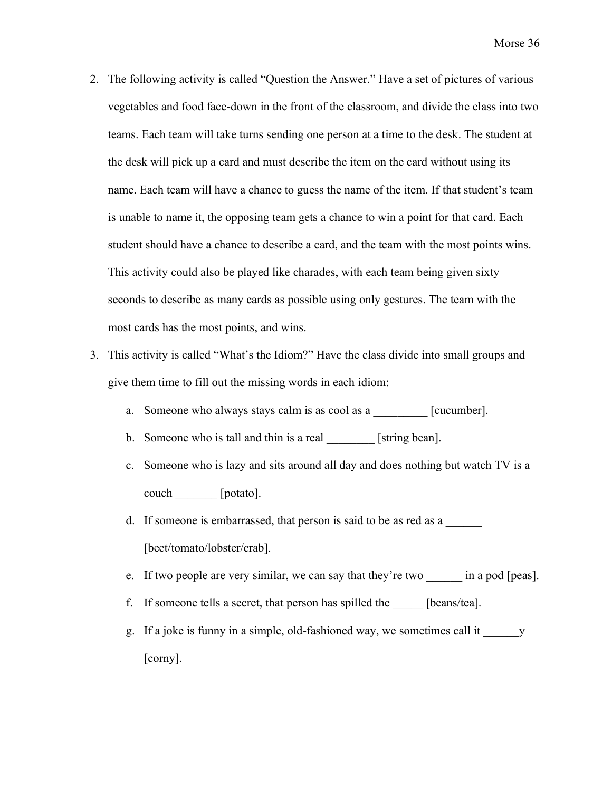- 2. The following activity is called "Question the Answer." Have a set of pictures of various vegetables and food face-down in the front of the classroom, and divide the class into two teams. Each team will take turns sending one person at a time to the desk. The student at the desk will pick up a card and must describe the item on the card without using its name. Each team will have a chance to guess the name of the item. If that student's team is unable to name it, the opposing team gets a chance to win a point for that card. Each student should have a chance to describe a card, and the team with the most points wins. This activity could also be played like charades, with each team being given sixty seconds to describe as many cards as possible using only gestures. The team with the most cards has the most points, and wins.
- 3. This activity is called "What's the Idiom?" Have the class divide into small groups and give them time to fill out the missing words in each idiom:
	- a. Someone who always stays calm is as cool as a \_\_\_\_\_\_\_\_\_ [cucumber].
	- b. Someone who is tall and thin is a real \_\_\_\_\_\_\_\_ [string bean].
	- c. Someone who is lazy and sits around all day and does nothing but watch TV is a couch \_\_\_\_\_\_\_ [potato].
	- d. If someone is embarrassed, that person is said to be as red as a [beet/tomato/lobster/crab].
	- e. If two people are very similar, we can say that they're two \_\_\_\_\_\_\_ in a pod [peas].
	- f. If someone tells a secret, that person has spilled the \_\_\_\_\_ [beans/tea].
	- g. If a joke is funny in a simple, old-fashioned way, we sometimes call it \_\_\_\_\_\_y [corny].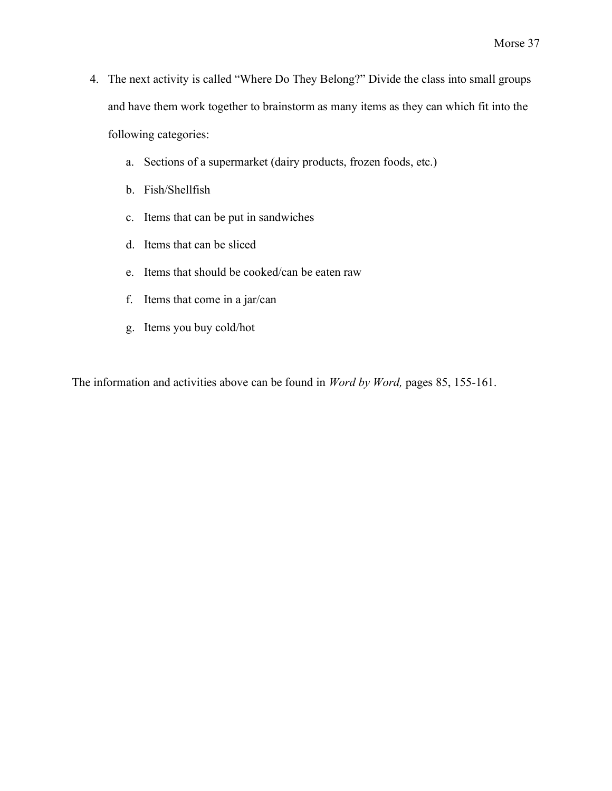- 4. The next activity is called "Where Do They Belong?" Divide the class into small groups and have them work together to brainstorm as many items as they can which fit into the following categories:
	- a. Sections of a supermarket (dairy products, frozen foods, etc.)
	- b. Fish/Shellfish
	- c. Items that can be put in sandwiches
	- d. Items that can be sliced
	- e. Items that should be cooked/can be eaten raw
	- f. Items that come in a jar/can
	- g. Items you buy cold/hot

The information and activities above can be found in *Word by Word,* pages 85, 155-161.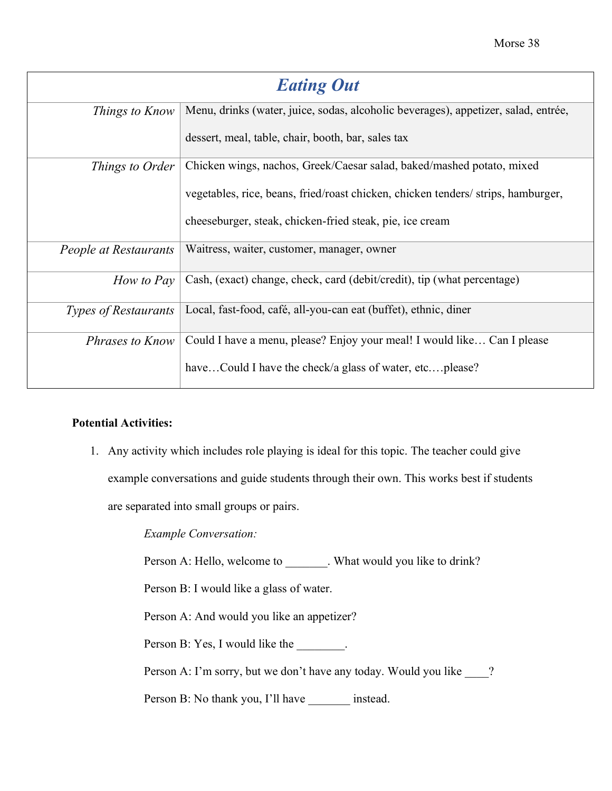<span id="page-39-0"></span>

| <b>Eating Out</b>           |                                                                                    |
|-----------------------------|------------------------------------------------------------------------------------|
| Things to Know              | Menu, drinks (water, juice, sodas, alcoholic beverages), appetizer, salad, entrée, |
|                             | dessert, meal, table, chair, booth, bar, sales tax                                 |
| Things to Order             | Chicken wings, nachos, Greek/Caesar salad, baked/mashed potato, mixed              |
|                             | vegetables, rice, beans, fried/roast chicken, chicken tenders/ strips, hamburger,  |
|                             | cheeseburger, steak, chicken-fried steak, pie, ice cream                           |
| People at Restaurants       | Waitress, waiter, customer, manager, owner                                         |
| How to Pay                  | Cash, (exact) change, check, card (debit/credit), tip (what percentage)            |
| <i>Types of Restaurants</i> | Local, fast-food, café, all-you-can eat (buffet), ethnic, diner                    |
| <i>Phrases to Know</i>      | Could I have a menu, please? Enjoy your meal! I would like Can I please            |
|                             | haveCould I have the check/a glass of water, etcplease?                            |

#### **Potential Activities:**

1. Any activity which includes role playing is ideal for this topic. The teacher could give example conversations and guide students through their own. This works best if students are separated into small groups or pairs.

*Example Conversation:*

Person A: Hello, welcome to \_\_\_\_\_\_\_. What would you like to drink?

Person B: I would like a glass of water.

Person A: And would you like an appetizer?

Person B: Yes, I would like the \_\_\_\_\_\_\_.

Person A: I'm sorry, but we don't have any today. Would you like \_\_\_\_?

Person B: No thank you, I'll have \_\_\_\_\_\_\_\_ instead.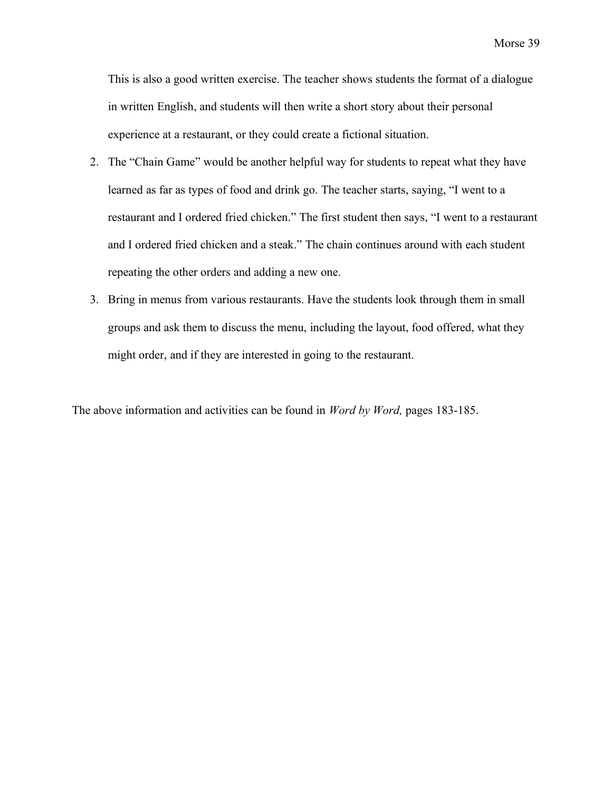This is also a good written exercise. The teacher shows students the format of a dialogue in written English, and students will then write a short story about their personal experience at a restaurant, or they could create a fictional situation.

- 2. The "Chain Game" would be another helpful way for students to repeat what they have learned as far as types of food and drink go. The teacher starts, saying, "I went to a restaurant and I ordered fried chicken." The first student then says, "I went to a restaurant and I ordered fried chicken and a steak." The chain continues around with each student repeating the other orders and adding a new one.
- 3. Bring in menus from various restaurants. Have the students look through them in small groups and ask them to discuss the menu, including the layout, food offered, what they might order, and if they are interested in going to the restaurant.

The above information and activities can be found in *Word by Word,* pages 183-185.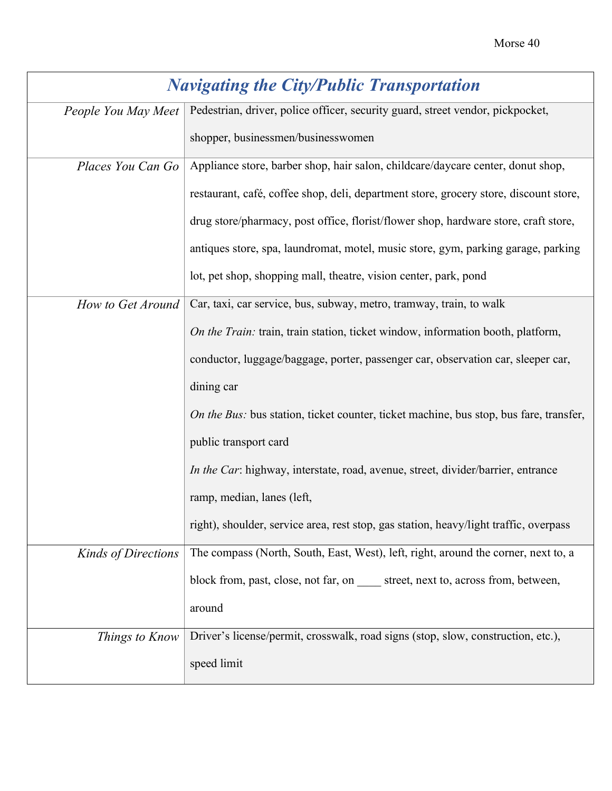<span id="page-41-0"></span>

| <b>Navigating the City/Public Transportation</b> |                                                                                        |
|--------------------------------------------------|----------------------------------------------------------------------------------------|
| People You May Meet                              | Pedestrian, driver, police officer, security guard, street vendor, pickpocket,         |
|                                                  | shopper, businessmen/businesswomen                                                     |
| Places You Can Go                                | Appliance store, barber shop, hair salon, childcare/daycare center, donut shop,        |
|                                                  | restaurant, café, coffee shop, deli, department store, grocery store, discount store,  |
|                                                  | drug store/pharmacy, post office, florist/flower shop, hardware store, craft store,    |
|                                                  | antiques store, spa, laundromat, motel, music store, gym, parking garage, parking      |
|                                                  | lot, pet shop, shopping mall, theatre, vision center, park, pond                       |
| How to Get Around                                | Car, taxi, car service, bus, subway, metro, tramway, train, to walk                    |
|                                                  | On the Train: train, train station, ticket window, information booth, platform,        |
|                                                  | conductor, luggage/baggage, porter, passenger car, observation car, sleeper car,       |
|                                                  | dining car                                                                             |
|                                                  | On the Bus: bus station, ticket counter, ticket machine, bus stop, bus fare, transfer, |
|                                                  | public transport card                                                                  |
|                                                  | In the Car: highway, interstate, road, avenue, street, divider/barrier, entrance       |
|                                                  | ramp, median, lanes (left,                                                             |
|                                                  | right), shoulder, service area, rest stop, gas station, heavy/light traffic, overpass  |
| <b>Kinds of Directions</b>                       | The compass (North, South, East, West), left, right, around the corner, next to, a     |
|                                                  | block from, past, close, not far, on street, next to, across from, between,            |
|                                                  | around                                                                                 |
| Things to Know                                   | Driver's license/permit, crosswalk, road signs (stop, slow, construction, etc.),       |
|                                                  | speed limit                                                                            |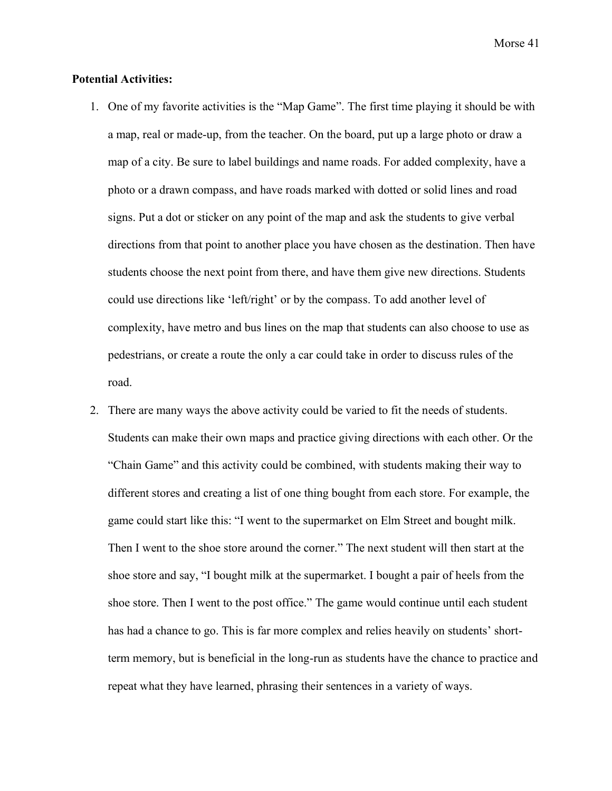#### **Potential Activities:**

- 1. One of my favorite activities is the "Map Game". The first time playing it should be with a map, real or made-up, from the teacher. On the board, put up a large photo or draw a map of a city. Be sure to label buildings and name roads. For added complexity, have a photo or a drawn compass, and have roads marked with dotted or solid lines and road signs. Put a dot or sticker on any point of the map and ask the students to give verbal directions from that point to another place you have chosen as the destination. Then have students choose the next point from there, and have them give new directions. Students could use directions like 'left/right' or by the compass. To add another level of complexity, have metro and bus lines on the map that students can also choose to use as pedestrians, or create a route the only a car could take in order to discuss rules of the road.
- 2. There are many ways the above activity could be varied to fit the needs of students. Students can make their own maps and practice giving directions with each other. Or the "Chain Game" and this activity could be combined, with students making their way to different stores and creating a list of one thing bought from each store. For example, the game could start like this: "I went to the supermarket on Elm Street and bought milk. Then I went to the shoe store around the corner." The next student will then start at the shoe store and say, "I bought milk at the supermarket. I bought a pair of heels from the shoe store. Then I went to the post office." The game would continue until each student has had a chance to go. This is far more complex and relies heavily on students' shortterm memory, but is beneficial in the long-run as students have the chance to practice and repeat what they have learned, phrasing their sentences in a variety of ways.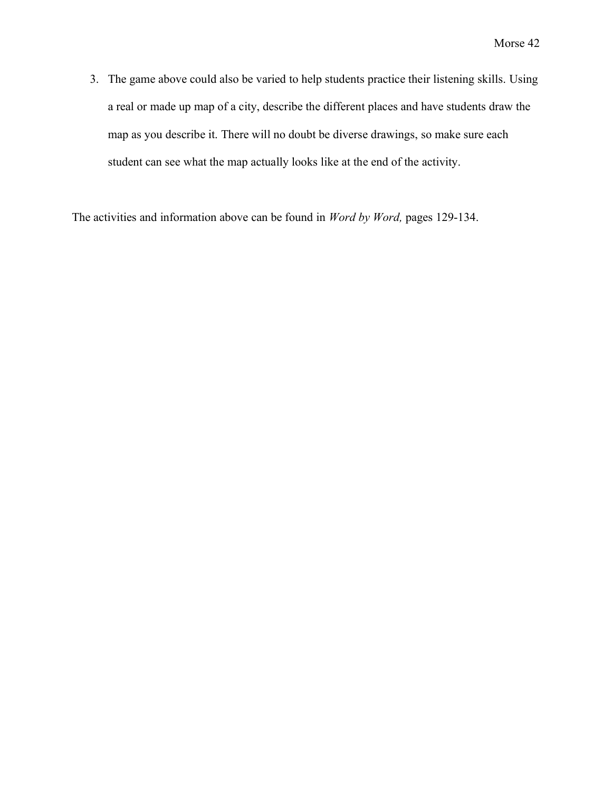3. The game above could also be varied to help students practice their listening skills. Using a real or made up map of a city, describe the different places and have students draw the map as you describe it. There will no doubt be diverse drawings, so make sure each student can see what the map actually looks like at the end of the activity.

The activities and information above can be found in *Word by Word,* pages 129-134.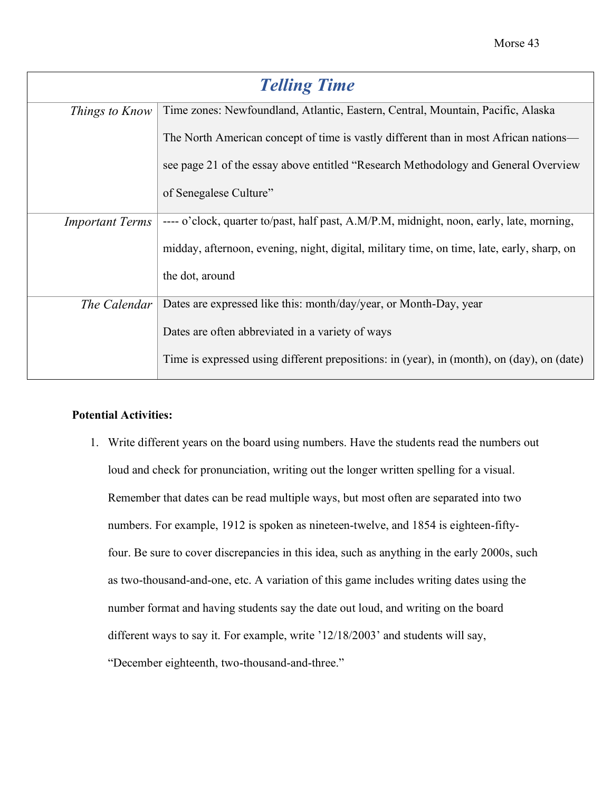<span id="page-44-0"></span>

| <b>Telling Time</b>    |                                                                                            |  |
|------------------------|--------------------------------------------------------------------------------------------|--|
| Things to Know         | Time zones: Newfoundland, Atlantic, Eastern, Central, Mountain, Pacific, Alaska            |  |
|                        | The North American concept of time is vastly different than in most African nations—       |  |
|                        | see page 21 of the essay above entitled "Research Methodology and General Overview"        |  |
|                        | of Senegalese Culture"                                                                     |  |
| <b>Important Terms</b> | ---- o'clock, quarter to/past, half past, A.M/P.M, midnight, noon, early, late, morning,   |  |
|                        | midday, afternoon, evening, night, digital, military time, on time, late, early, sharp, on |  |
|                        | the dot, around                                                                            |  |
| The Calendar           | Dates are expressed like this: month/day/year, or Month-Day, year                          |  |
|                        | Dates are often abbreviated in a variety of ways                                           |  |
|                        | Time is expressed using different prepositions: in (year), in (month), on (day), on (date) |  |

#### **Potential Activities:**

1. Write different years on the board using numbers. Have the students read the numbers out loud and check for pronunciation, writing out the longer written spelling for a visual. Remember that dates can be read multiple ways, but most often are separated into two numbers. For example, 1912 is spoken as nineteen-twelve, and 1854 is eighteen-fiftyfour. Be sure to cover discrepancies in this idea, such as anything in the early 2000s, such as two-thousand-and-one, etc. A variation of this game includes writing dates using the number format and having students say the date out loud, and writing on the board different ways to say it. For example, write '12/18/2003' and students will say, "December eighteenth, two-thousand-and-three."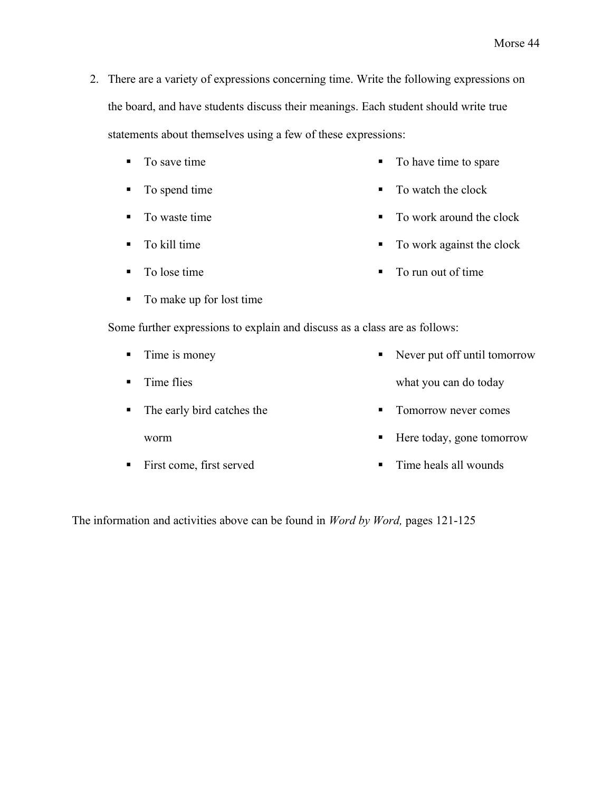- 2. There are a variety of expressions concerning time. Write the following expressions on the board, and have students discuss their meanings. Each student should write true statements about themselves using a few of these expressions:
	- To save time
	- To spend time
	- To waste time
	- $\blacksquare$  To kill time
	- To lose time
	- To make up for lost time

Some further expressions to explain and discuss as a class are as follows:

- Time is money
- $\blacksquare$  Time flies what you can do today
- The early bird catches the worm ■ Tomorrow never comes
- **First come, first served** ■ Time heals all wounds

The information and activities above can be found in *Word by Word,* pages 121-125

- To have time to spare
- To watch the clock
- To work around the clock
- To work against the clock
- To run out of time
- Never put off until tomorrow
	-
	- Here today, gone tomorrow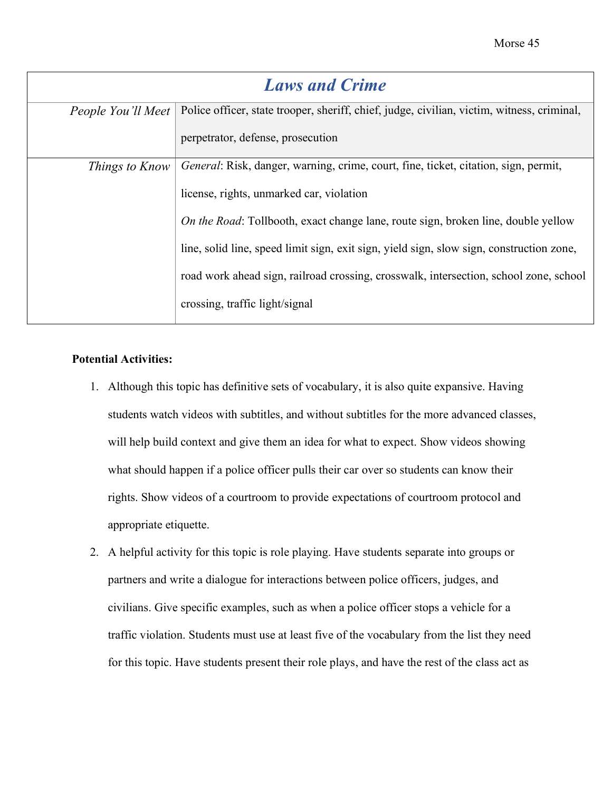<span id="page-46-0"></span>

| <b>Laws and Crime</b> |                                                                                                                 |  |  |
|-----------------------|-----------------------------------------------------------------------------------------------------------------|--|--|
|                       | People You'll Meet   Police officer, state trooper, sheriff, chief, judge, civilian, victim, witness, criminal, |  |  |
|                       | perpetrator, defense, prosecution                                                                               |  |  |
| Things to Know        | General: Risk, danger, warning, crime, court, fine, ticket, citation, sign, permit,                             |  |  |
|                       | license, rights, unmarked car, violation                                                                        |  |  |
|                       | On the Road: Tollbooth, exact change lane, route sign, broken line, double yellow                               |  |  |
|                       | line, solid line, speed limit sign, exit sign, yield sign, slow sign, construction zone,                        |  |  |
|                       | road work ahead sign, railroad crossing, crosswalk, intersection, school zone, school                           |  |  |
|                       | crossing, traffic light/signal                                                                                  |  |  |

#### **Potential Activities:**

- 1. Although this topic has definitive sets of vocabulary, it is also quite expansive. Having students watch videos with subtitles, and without subtitles for the more advanced classes, will help build context and give them an idea for what to expect. Show videos showing what should happen if a police officer pulls their car over so students can know their rights. Show videos of a courtroom to provide expectations of courtroom protocol and appropriate etiquette.
- 2. A helpful activity for this topic is role playing. Have students separate into groups or partners and write a dialogue for interactions between police officers, judges, and civilians. Give specific examples, such as when a police officer stops a vehicle for a traffic violation. Students must use at least five of the vocabulary from the list they need for this topic. Have students present their role plays, and have the rest of the class act as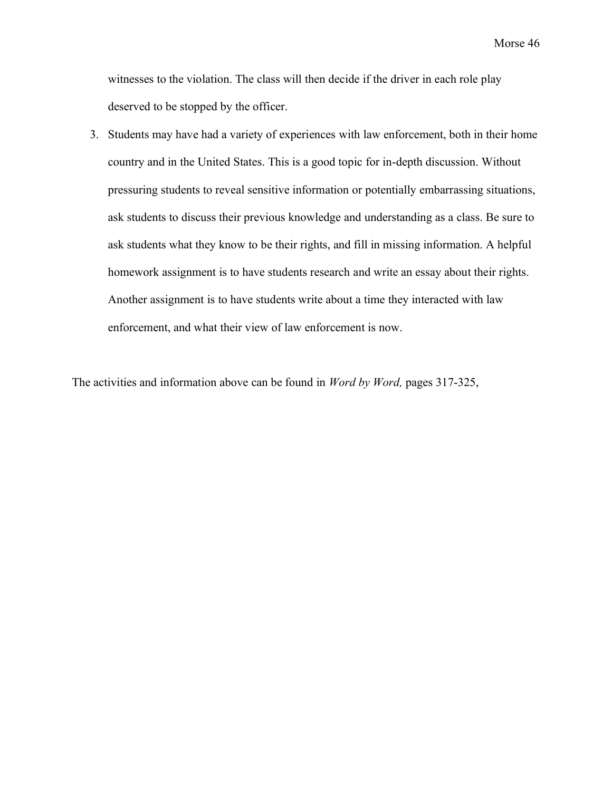witnesses to the violation. The class will then decide if the driver in each role play deserved to be stopped by the officer.

3. Students may have had a variety of experiences with law enforcement, both in their home country and in the United States. This is a good topic for in-depth discussion. Without pressuring students to reveal sensitive information or potentially embarrassing situations, ask students to discuss their previous knowledge and understanding as a class. Be sure to ask students what they know to be their rights, and fill in missing information. A helpful homework assignment is to have students research and write an essay about their rights. Another assignment is to have students write about a time they interacted with law enforcement, and what their view of law enforcement is now.

The activities and information above can be found in *Word by Word,* pages 317-325,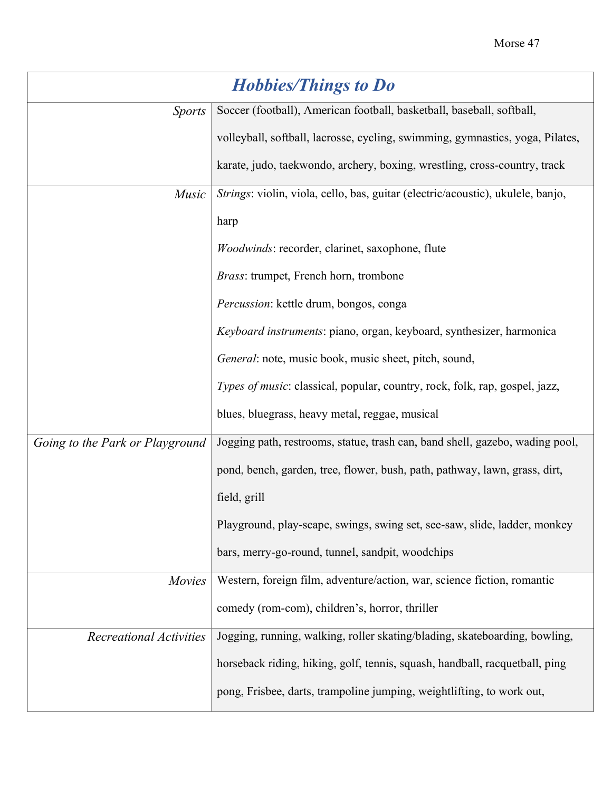<span id="page-48-0"></span>

| <b>Hobbies/Things to Do</b>     |                                                                                 |  |  |
|---------------------------------|---------------------------------------------------------------------------------|--|--|
| <b>Sports</b>                   | Soccer (football), American football, basketball, baseball, softball,           |  |  |
|                                 | volleyball, softball, lacrosse, cycling, swimming, gymnastics, yoga, Pilates,   |  |  |
|                                 | karate, judo, taekwondo, archery, boxing, wrestling, cross-country, track       |  |  |
| Music                           | Strings: violin, viola, cello, bas, guitar (electric/acoustic), ukulele, banjo, |  |  |
|                                 | harp                                                                            |  |  |
|                                 | Woodwinds: recorder, clarinet, saxophone, flute                                 |  |  |
|                                 | Brass: trumpet, French horn, trombone                                           |  |  |
|                                 | Percussion: kettle drum, bongos, conga                                          |  |  |
|                                 | Keyboard instruments: piano, organ, keyboard, synthesizer, harmonica            |  |  |
|                                 | General: note, music book, music sheet, pitch, sound,                           |  |  |
|                                 | Types of music: classical, popular, country, rock, folk, rap, gospel, jazz,     |  |  |
|                                 | blues, bluegrass, heavy metal, reggae, musical                                  |  |  |
| Going to the Park or Playground | Jogging path, restrooms, statue, trash can, band shell, gazebo, wading pool,    |  |  |
|                                 | pond, bench, garden, tree, flower, bush, path, pathway, lawn, grass, dirt,      |  |  |
|                                 | field, grill                                                                    |  |  |
|                                 | Playground, play-scape, swings, swing set, see-saw, slide, ladder, monkey       |  |  |
|                                 | bars, merry-go-round, tunnel, sandpit, woodchips                                |  |  |
| <b>Movies</b>                   | Western, foreign film, adventure/action, war, science fiction, romantic         |  |  |
|                                 | comedy (rom-com), children's, horror, thriller                                  |  |  |
| <b>Recreational Activities</b>  | Jogging, running, walking, roller skating/blading, skateboarding, bowling,      |  |  |
|                                 | horseback riding, hiking, golf, tennis, squash, handball, racquetball, ping     |  |  |
|                                 | pong, Frisbee, darts, trampoline jumping, weightlifting, to work out,           |  |  |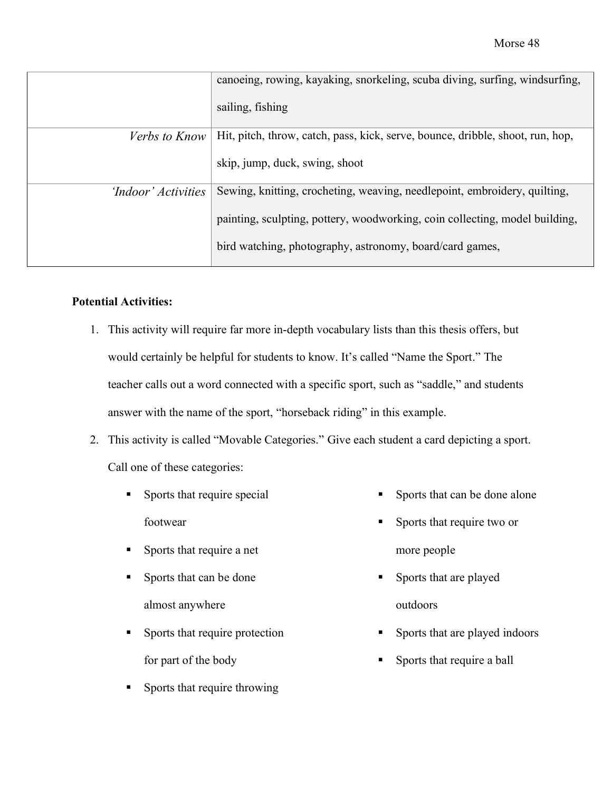|                      | canoeing, rowing, kayaking, snorkeling, scuba diving, surfing, windsurfing,    |
|----------------------|--------------------------------------------------------------------------------|
|                      | sailing, fishing                                                               |
| <i>Verbs to Know</i> | Hit, pitch, throw, catch, pass, kick, serve, bounce, dribble, shoot, run, hop, |
|                      | skip, jump, duck, swing, shoot                                                 |
| 'Indoor' Activities  | Sewing, knitting, crocheting, weaving, needlepoint, embroidery, quilting,      |
|                      | painting, sculpting, pottery, woodworking, coin collecting, model building,    |
|                      | bird watching, photography, astronomy, board/card games,                       |

#### **Potential Activities:**

- 1. This activity will require far more in-depth vocabulary lists than this thesis offers, but would certainly be helpful for students to know. It's called "Name the Sport." The teacher calls out a word connected with a specific sport, such as "saddle," and students answer with the name of the sport, "horseback riding" in this example.
- 2. This activity is called "Movable Categories." Give each student a card depicting a sport. Call one of these categories:
	- **Exercise Sports that require special** footwear **Exercise Sports that require two or**
	- Sports that require a net
	- Sports that can be done almost anywhere
	- **•** Sports that require protection for part of the body
	- **•** Sports that require throwing
- Sports that can be done alone
- more people
- **•** Sports that are played outdoors
- Sports that are played indoors
- **•** Sports that require a ball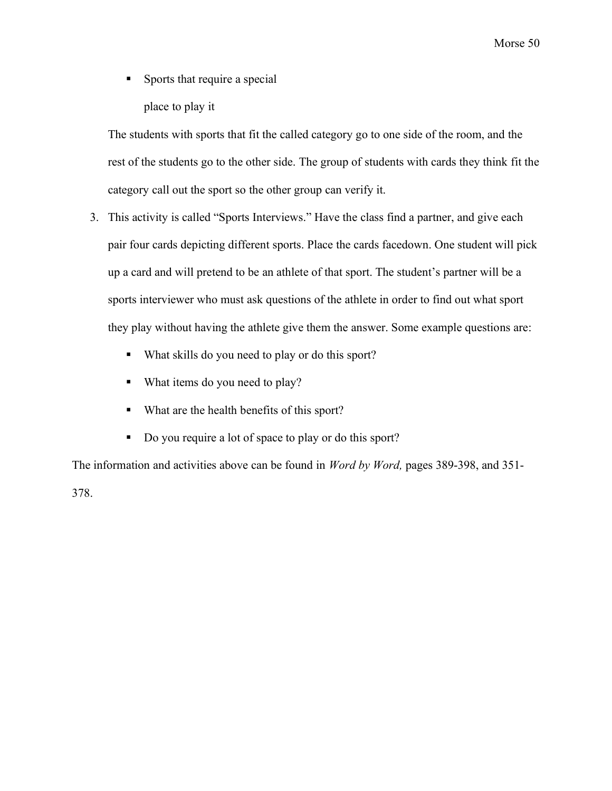**Exercise Sports that require a special** place to play it

The students with sports that fit the called category go to one side of the room, and the rest of the students go to the other side. The group of students with cards they think fit the category call out the sport so the other group can verify it.

- 3. This activity is called "Sports Interviews." Have the class find a partner, and give each pair four cards depicting different sports. Place the cards facedown. One student will pick up a card and will pretend to be an athlete of that sport. The student's partner will be a sports interviewer who must ask questions of the athlete in order to find out what sport they play without having the athlete give them the answer. Some example questions are:
	- What skills do you need to play or do this sport?
	- What items do you need to play?
	- What are the health benefits of this sport?
	- Do you require a lot of space to play or do this sport?

The information and activities above can be found in *Word by Word,* pages 389-398, and 351-

378.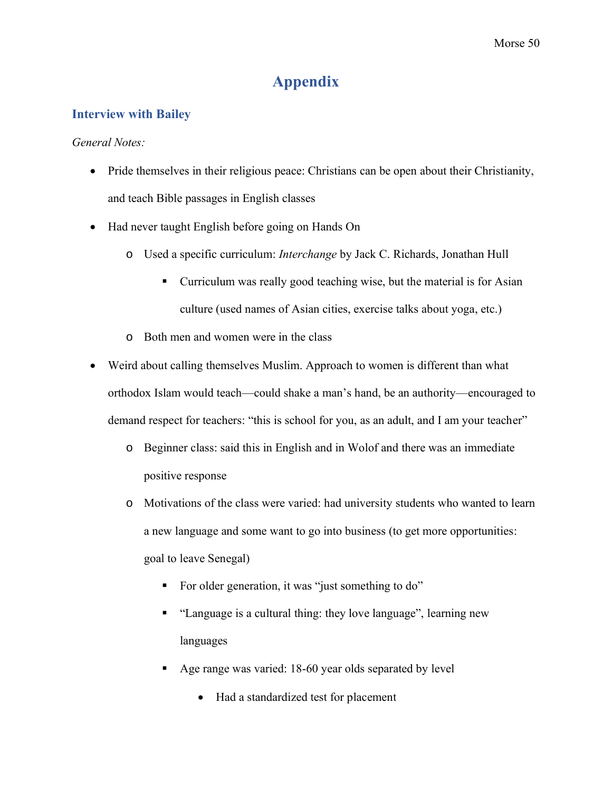# **Appendix**

## <span id="page-51-1"></span><span id="page-51-0"></span>**Interview with Bailey**

#### *General Notes:*

- Pride themselves in their religious peace: Christians can be open about their Christianity, and teach Bible passages in English classes
- Had never taught English before going on Hands On
	- o Used a specific curriculum: *Interchange* by Jack C. Richards, Jonathan Hull
		- Curriculum was really good teaching wise, but the material is for Asian culture (used names of Asian cities, exercise talks about yoga, etc.)
	- o Both men and women were in the class
- Weird about calling themselves Muslim. Approach to women is different than what orthodox Islam would teach—could shake a man's hand, be an authority—encouraged to demand respect for teachers: "this is school for you, as an adult, and I am your teacher"
	- o Beginner class: said this in English and in Wolof and there was an immediate positive response
	- o Motivations of the class were varied: had university students who wanted to learn a new language and some want to go into business (to get more opportunities: goal to leave Senegal)
		- For older generation, it was "just something to do"
		- "Language is a cultural thing: they love language", learning new languages
		- Age range was varied: 18-60 year olds separated by level
			- Had a standardized test for placement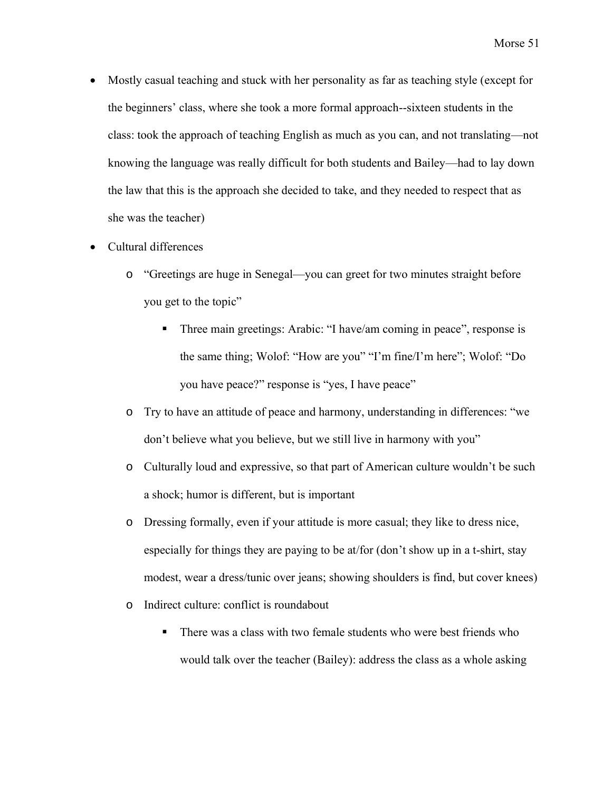- Mostly casual teaching and stuck with her personality as far as teaching style (except for the beginners' class, where she took a more formal approach--sixteen students in the class: took the approach of teaching English as much as you can, and not translating—not knowing the language was really difficult for both students and Bailey—had to lay down the law that this is the approach she decided to take, and they needed to respect that as she was the teacher)
- Cultural differences
	- o "Greetings are huge in Senegal—you can greet for two minutes straight before you get to the topic"
		- Three main greetings: Arabic: "I have/am coming in peace", response is the same thing; Wolof: "How are you" "I'm fine/I'm here"; Wolof: "Do you have peace?" response is "yes, I have peace"
	- o Try to have an attitude of peace and harmony, understanding in differences: "we don't believe what you believe, but we still live in harmony with you"
	- o Culturally loud and expressive, so that part of American culture wouldn't be such a shock; humor is different, but is important
	- o Dressing formally, even if your attitude is more casual; they like to dress nice, especially for things they are paying to be at/for (don't show up in a t-shirt, stay modest, wear a dress/tunic over jeans; showing shoulders is find, but cover knees)
	- o Indirect culture: conflict is roundabout
		- There was a class with two female students who were best friends who would talk over the teacher (Bailey): address the class as a whole asking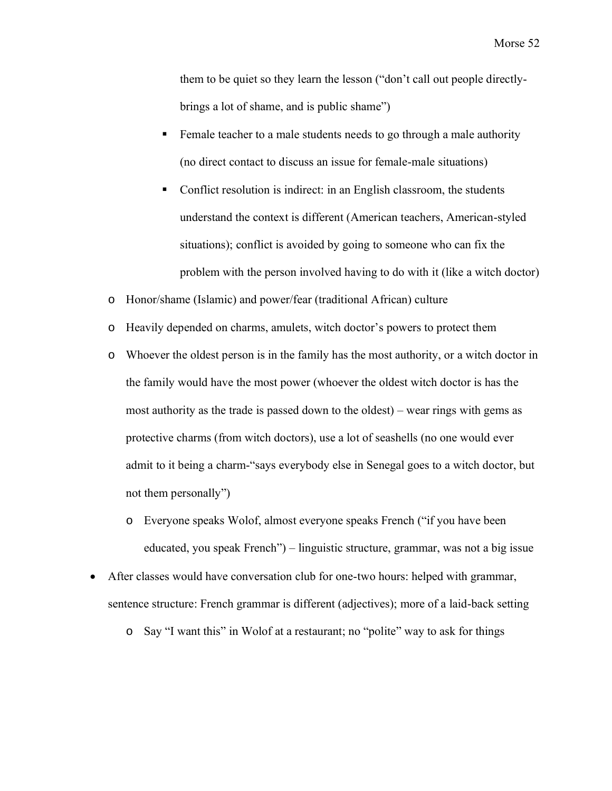them to be quiet so they learn the lesson ("don't call out people directlybrings a lot of shame, and is public shame")

- Female teacher to a male students needs to go through a male authority (no direct contact to discuss an issue for female-male situations)
- Conflict resolution is indirect: in an English classroom, the students understand the context is different (American teachers, American-styled situations); conflict is avoided by going to someone who can fix the problem with the person involved having to do with it (like a witch doctor)
- o Honor/shame (Islamic) and power/fear (traditional African) culture
- o Heavily depended on charms, amulets, witch doctor's powers to protect them
- o Whoever the oldest person is in the family has the most authority, or a witch doctor in the family would have the most power (whoever the oldest witch doctor is has the most authority as the trade is passed down to the oldest) – wear rings with gems as protective charms (from witch doctors), use a lot of seashells (no one would ever admit to it being a charm-"says everybody else in Senegal goes to a witch doctor, but not them personally")
	- o Everyone speaks Wolof, almost everyone speaks French ("if you have been educated, you speak French") – linguistic structure, grammar, was not a big issue
- After classes would have conversation club for one-two hours: helped with grammar, sentence structure: French grammar is different (adjectives); more of a laid-back setting
	- o Say "I want this" in Wolof at a restaurant; no "polite" way to ask for things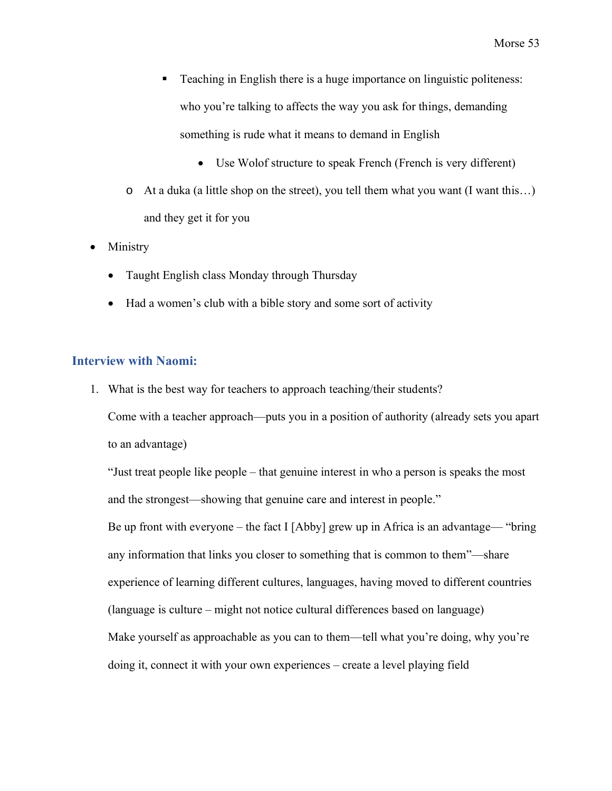- Teaching in English there is a huge importance on linguistic politeness: who you're talking to affects the way you ask for things, demanding something is rude what it means to demand in English
	- Use Wolof structure to speak French (French is very different)
- o At a duka (a little shop on the street), you tell them what you want (I want this…) and they get it for you
- Ministry
	- Taught English class Monday through Thursday
	- Had a women's club with a bible story and some sort of activity

#### <span id="page-54-0"></span>**Interview with Naomi:**

1. What is the best way for teachers to approach teaching/their students?

Come with a teacher approach—puts you in a position of authority (already sets you apart to an advantage)

"Just treat people like people – that genuine interest in who a person is speaks the most and the strongest—showing that genuine care and interest in people." Be up front with everyone – the fact I [Abby] grew up in Africa is an advantage— "bring any information that links you closer to something that is common to them"—share experience of learning different cultures, languages, having moved to different countries (language is culture – might not notice cultural differences based on language) Make yourself as approachable as you can to them—tell what you're doing, why you're doing it, connect it with your own experiences – create a level playing field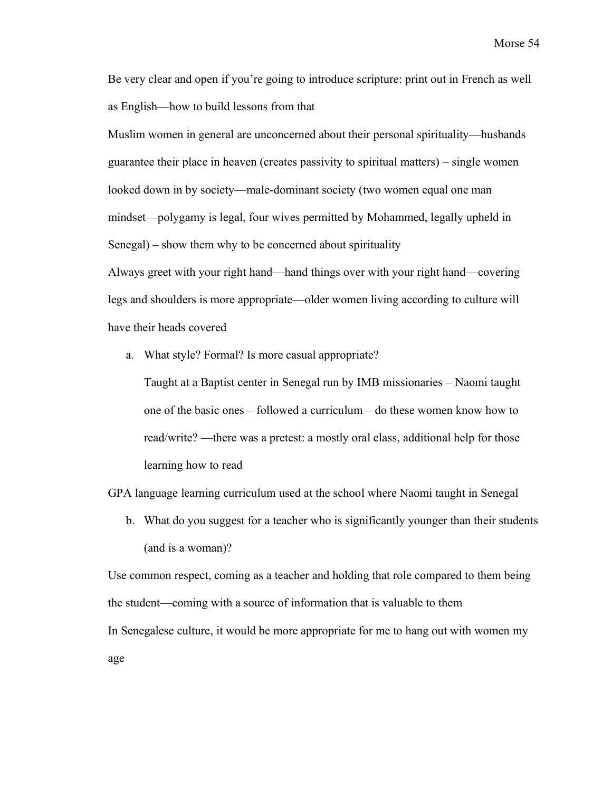Be very clear and open if you're going to introduce scripture: print out in French as well as English—how to build lessons from that

Muslim women in general are unconcerned about their personal spirituality—husbands guarantee their place in heaven (creates passivity to spiritual matters) – single women looked down in by society—male-dominant society (two women equal one man mindset—polygamy is legal, four wives permitted by Mohammed, legally upheld in Senegal) – show them why to be concerned about spirituality

Always greet with your right hand—hand things over with your right hand—covering legs and shoulders is more appropriate—older women living according to culture will have their heads covered

a. What style? Formal? Is more casual appropriate?

Taught at a Baptist center in Senegal run by IMB missionaries – Naomi taught one of the basic ones – followed a curriculum – do these women know how to read/write? —there was a pretest: a mostly oral class, additional help for those learning how to read

GPA language learning curriculum used at the school where Naomi taught in Senegal

b. What do you suggest for a teacher who is significantly younger than their students (and is a woman)?

Use common respect, coming as a teacher and holding that role compared to them being the student—coming with a source of information that is valuable to them In Senegalese culture, it would be more appropriate for me to hang out with women my age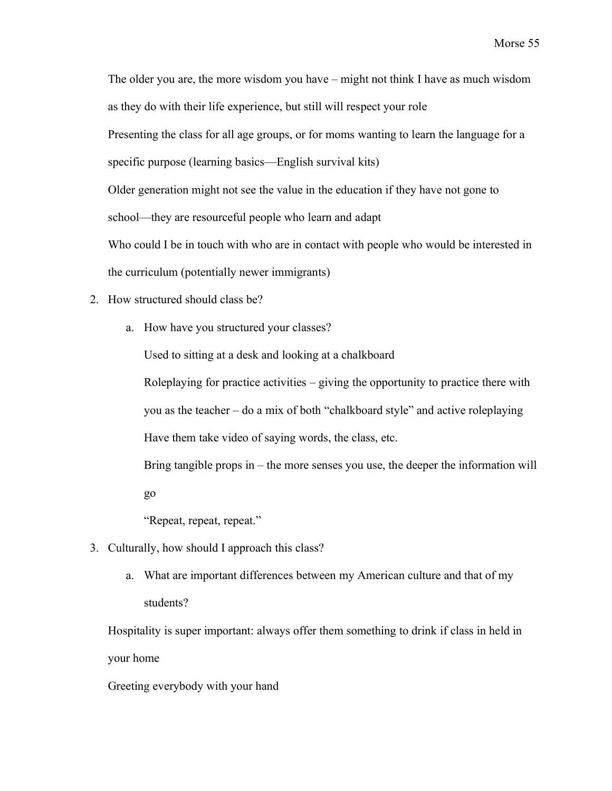The older you are, the more wisdom you have – might not think I have as much wisdom as they do with their life experience, but still will respect your role Presenting the class for all age groups, or for moms wanting to learn the language for a specific purpose (learning basics—English survival kits) Older generation might not see the value in the education if they have not gone to school—they are resourceful people who learn and adapt Who could I be in touch with who are in contact with people who would be interested in the curriculum (potentially newer immigrants)

- 2. How structured should class be?
	- a. How have you structured your classes?

Used to sitting at a desk and looking at a chalkboard

Roleplaying for practice activities – giving the opportunity to practice there with you as the teacher – do a mix of both "chalkboard style" and active roleplaying Have them take video of saying words, the class, etc.

Bring tangible props in – the more senses you use, the deeper the information will go

"Repeat, repeat, repeat."

- 3. Culturally, how should I approach this class?
	- a. What are important differences between my American culture and that of my students?

Hospitality is super important: always offer them something to drink if class in held in your home

Greeting everybody with your hand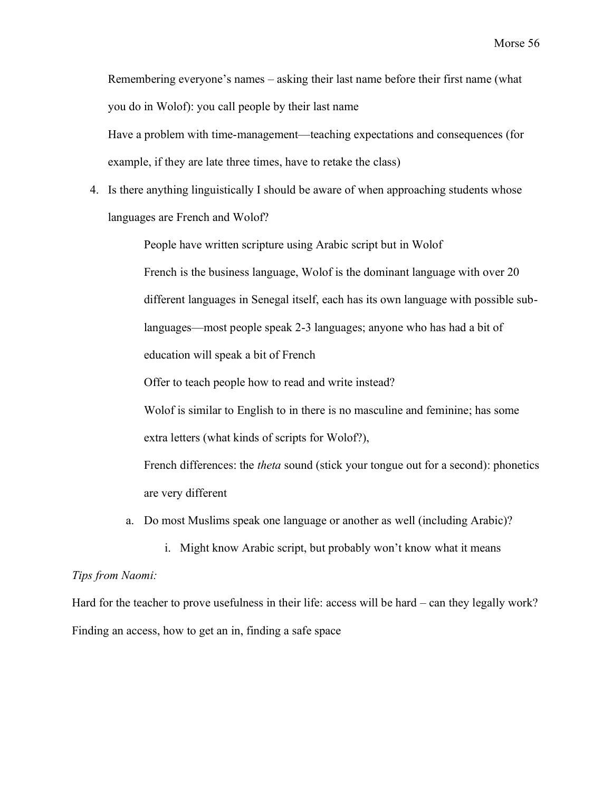Remembering everyone's names – asking their last name before their first name (what you do in Wolof): you call people by their last name

Have a problem with time-management—teaching expectations and consequences (for example, if they are late three times, have to retake the class)

4. Is there anything linguistically I should be aware of when approaching students whose languages are French and Wolof?

People have written scripture using Arabic script but in Wolof

French is the business language, Wolof is the dominant language with over 20 different languages in Senegal itself, each has its own language with possible sublanguages—most people speak 2-3 languages; anyone who has had a bit of education will speak a bit of French

Offer to teach people how to read and write instead?

Wolof is similar to English to in there is no masculine and feminine; has some extra letters (what kinds of scripts for Wolof?),

French differences: the *theta* sound (stick your tongue out for a second): phonetics are very different

- a. Do most Muslims speak one language or another as well (including Arabic)?
	- i. Might know Arabic script, but probably won't know what it means

#### *Tips from Naomi:*

Hard for the teacher to prove usefulness in their life: access will be hard – can they legally work? Finding an access, how to get an in, finding a safe space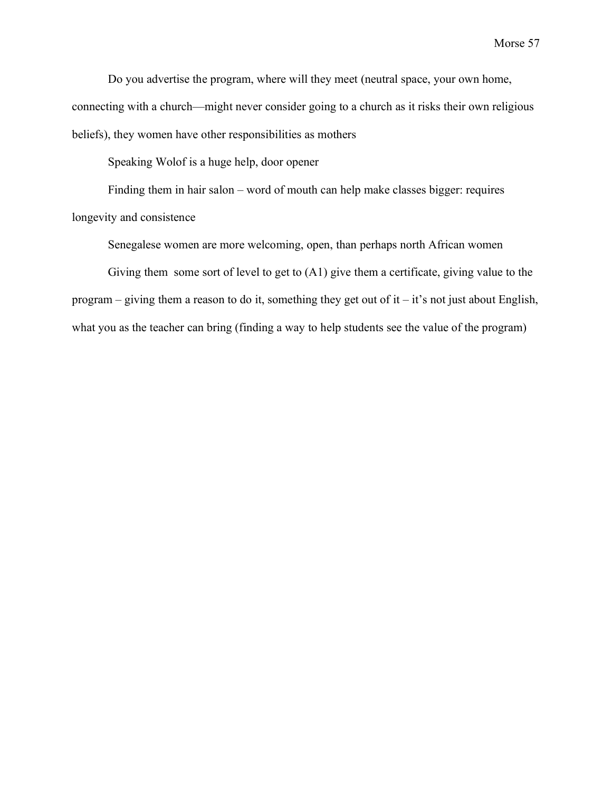Do you advertise the program, where will they meet (neutral space, your own home, connecting with a church—might never consider going to a church as it risks their own religious beliefs), they women have other responsibilities as mothers

Speaking Wolof is a huge help, door opener

Finding them in hair salon – word of mouth can help make classes bigger: requires

longevity and consistence

Senegalese women are more welcoming, open, than perhaps north African women

Giving them some sort of level to get to (A1) give them a certificate, giving value to the program – giving them a reason to do it, something they get out of it – it's not just about English, what you as the teacher can bring (finding a way to help students see the value of the program)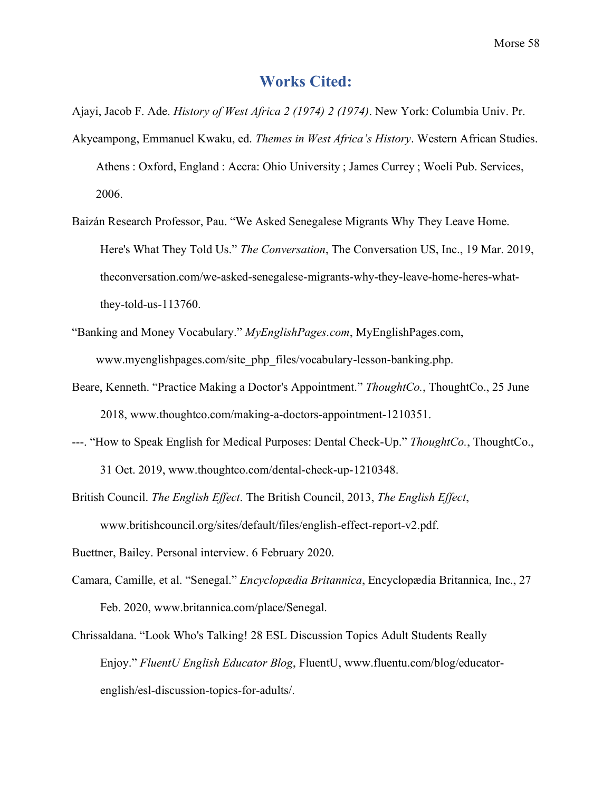## **Works Cited:**

<span id="page-59-0"></span>Ajayi, Jacob F. Ade. *History of West Africa 2 (1974) 2 (1974)*. New York: Columbia Univ. Pr.

- Akyeampong, Emmanuel Kwaku, ed. *Themes in West Africa's History*. Western African Studies. Athens : Oxford, England : Accra: Ohio University ; James Currey ; Woeli Pub. Services, 2006.
- Baizán Research Professor, Pau. "We Asked Senegalese Migrants Why They Leave Home. Here's What They Told Us." *The Conversation*, The Conversation US, Inc., 19 Mar. 2019, theconversation.com/we-asked-senegalese-migrants-why-they-leave-home-heres-whatthey-told-us-113760.
- "Banking and Money Vocabulary." *MyEnglishPages.com*, MyEnglishPages.com, www.myenglishpages.com/site\_php\_files/vocabulary-lesson-banking.php.
- Beare, Kenneth. "Practice Making a Doctor's Appointment." *ThoughtCo.*, ThoughtCo., 25 June 2018, www.thoughtco.com/making-a-doctors-appointment-1210351.
- ---. "How to Speak English for Medical Purposes: Dental Check-Up." *ThoughtCo.*, ThoughtCo., 31 Oct. 2019, www.thoughtco.com/dental-check-up-1210348.
- British Council. *The English Effect*. The British Council, 2013, *The English Effect*, www.britishcouncil.org/sites/default/files/english-effect-report-v2.pdf.
- Buettner, Bailey. Personal interview. 6 February 2020.
- Camara, Camille, et al. "Senegal." *Encyclopædia Britannica*, Encyclopædia Britannica, Inc., 27 Feb. 2020, www.britannica.com/place/Senegal.
- Chrissaldana. "Look Who's Talking! 28 ESL Discussion Topics Adult Students Really Enjoy." *FluentU English Educator Blog*, FluentU, www.fluentu.com/blog/educatorenglish/esl-discussion-topics-for-adults/.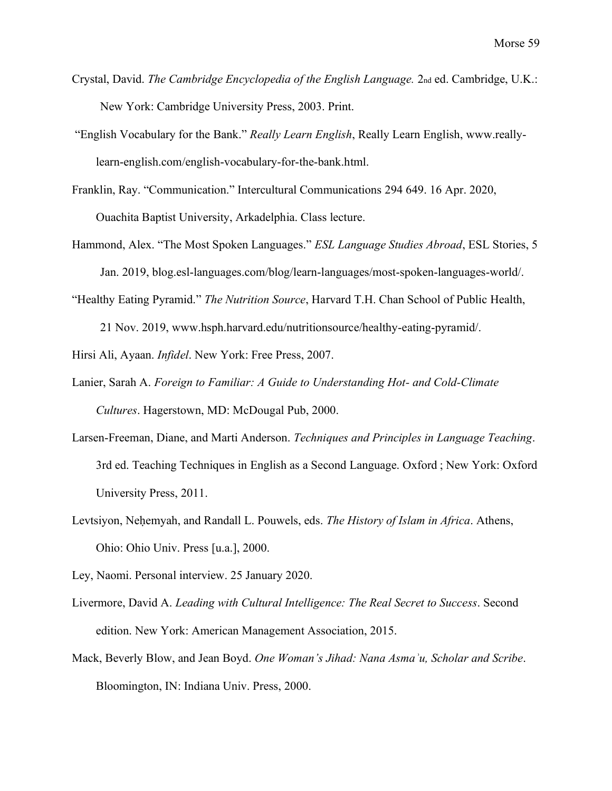- Crystal, David. *The Cambridge Encyclopedia of the English Language.* 2nd ed. Cambridge, U.K.: New York: Cambridge University Press, 2003. Print.
- "English Vocabulary for the Bank." *Really Learn English*, Really Learn English, www.reallylearn-english.com/english-vocabulary-for-the-bank.html.
- Franklin, Ray. "Communication." Intercultural Communications 294 649. 16 Apr. 2020, Ouachita Baptist University, Arkadelphia. Class lecture.
- Hammond, Alex. "The Most Spoken Languages." *ESL Language Studies Abroad*, ESL Stories, 5 Jan. 2019, blog.esl-languages.com/blog/learn-languages/most-spoken-languages-world/.
- "Healthy Eating Pyramid." *The Nutrition Source*, Harvard T.H. Chan School of Public Health,

21 Nov. 2019, www.hsph.harvard.edu/nutritionsource/healthy-eating-pyramid/.

Hirsi Ali, Ayaan. *Infidel*. New York: Free Press, 2007.

- Lanier, Sarah A. *Foreign to Familiar: A Guide to Understanding Hot- and Cold-Climate Cultures*. Hagerstown, MD: McDougal Pub, 2000.
- Larsen-Freeman, Diane, and Marti Anderson. *Techniques and Principles in Language Teaching*. 3rd ed. Teaching Techniques in English as a Second Language. Oxford ; New York: Oxford University Press, 2011.
- Levtsiyon, Neḥemyah, and Randall L. Pouwels, eds. *The History of Islam in Africa*. Athens, Ohio: Ohio Univ. Press [u.a.], 2000.

Ley, Naomi. Personal interview. 25 January 2020.

- Livermore, David A. *Leading with Cultural Intelligence: The Real Secret to Success*. Second edition. New York: American Management Association, 2015.
- Mack, Beverly Blow, and Jean Boyd. *One Woman's Jihad: Nana Asmaʾu, Scholar and Scribe*. Bloomington, IN: Indiana Univ. Press, 2000.